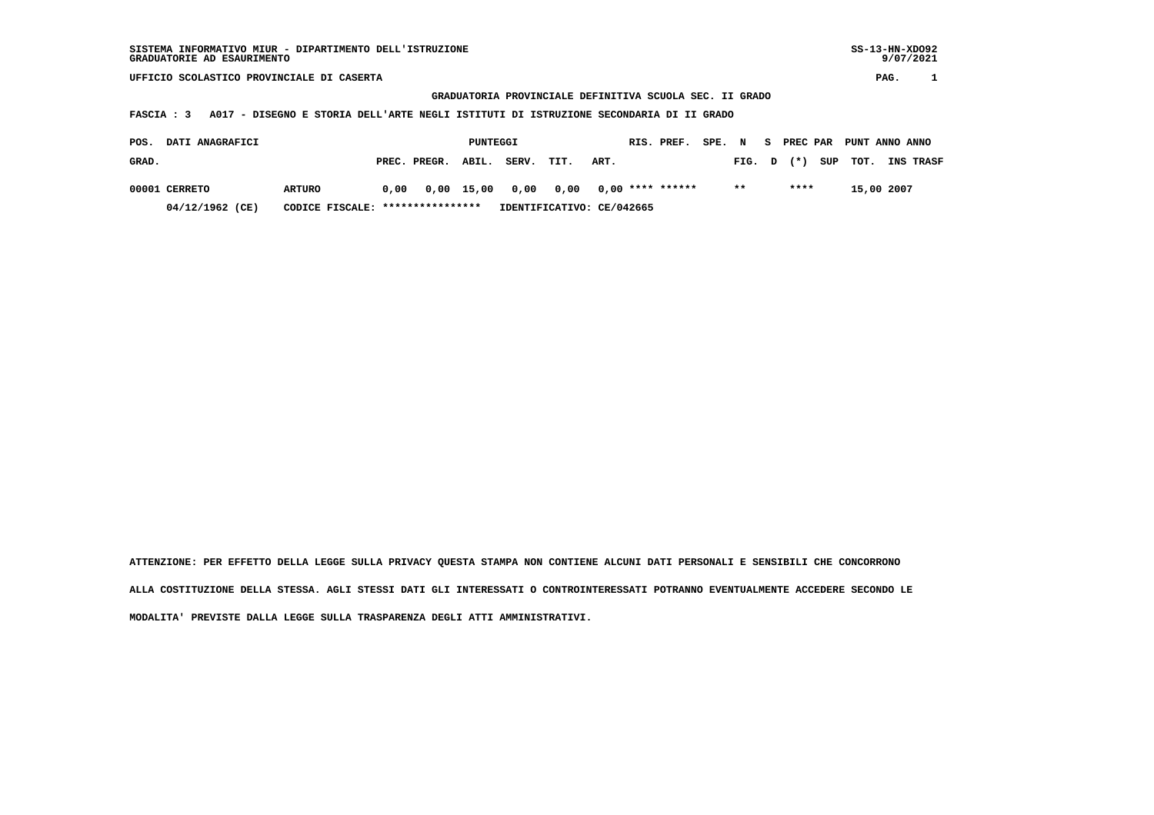| SISTEMA INFORMATIVO MIUR - DIPARTIMENTO DELL'ISTRUZIONE<br>GRADUATORIE AD ESAURIMENTO |                                                                                                                                                  |       |        |          |       |      |      |  |                    |        |        |    |          |     | $SS-13-HN-XDO92$ | 9/07/2021 |           |
|---------------------------------------------------------------------------------------|--------------------------------------------------------------------------------------------------------------------------------------------------|-------|--------|----------|-------|------|------|--|--------------------|--------|--------|----|----------|-----|------------------|-----------|-----------|
| UFFICIO SCOLASTICO PROVINCIALE DI CASERTA                                             |                                                                                                                                                  |       |        |          |       |      |      |  |                    |        |        |    |          |     |                  | PAG.      |           |
|                                                                                       | GRADUATORIA PROVINCIALE DEFINITIVA SCUOLA SEC. II GRADO<br>A017 - DISEGNO E STORIA DELL'ARTE NEGLI ISTITUTI DI ISTRUZIONE SECONDARIA DI II GRADO |       |        |          |       |      |      |  |                    |        |        |    |          |     |                  |           |           |
| FASCIA : 3                                                                            |                                                                                                                                                  |       |        |          |       |      |      |  |                    |        |        |    |          |     |                  |           |           |
| DATI ANAGRAFICI<br>POS.                                                               |                                                                                                                                                  |       |        | PUNTEGGI |       |      |      |  | RIS. PREF.         | SPE. N |        | S. | PREC PAR |     | PUNT ANNO ANNO   |           |           |
| GRAD.                                                                                 |                                                                                                                                                  | PREC. | PREGR. | ABIL.    | SERV. | TIT. | ART. |  |                    |        | FIG. D |    | $(* )$   | SUP | TOT.             |           | INS TRASF |
| 00001 CERRETO                                                                         | <b>ARTURO</b>                                                                                                                                    | 0.00  | 0,00   | 15,00    | 0.00  | 0.00 |      |  | $0.00$ **** ****** |        | $**$   |    | ****     |     | 15,00 2007       |           |           |

 **04/12/1962 (CE) CODICE FISCALE: \*\*\*\*\*\*\*\*\*\*\*\*\*\*\*\* IDENTIFICATIVO: CE/042665**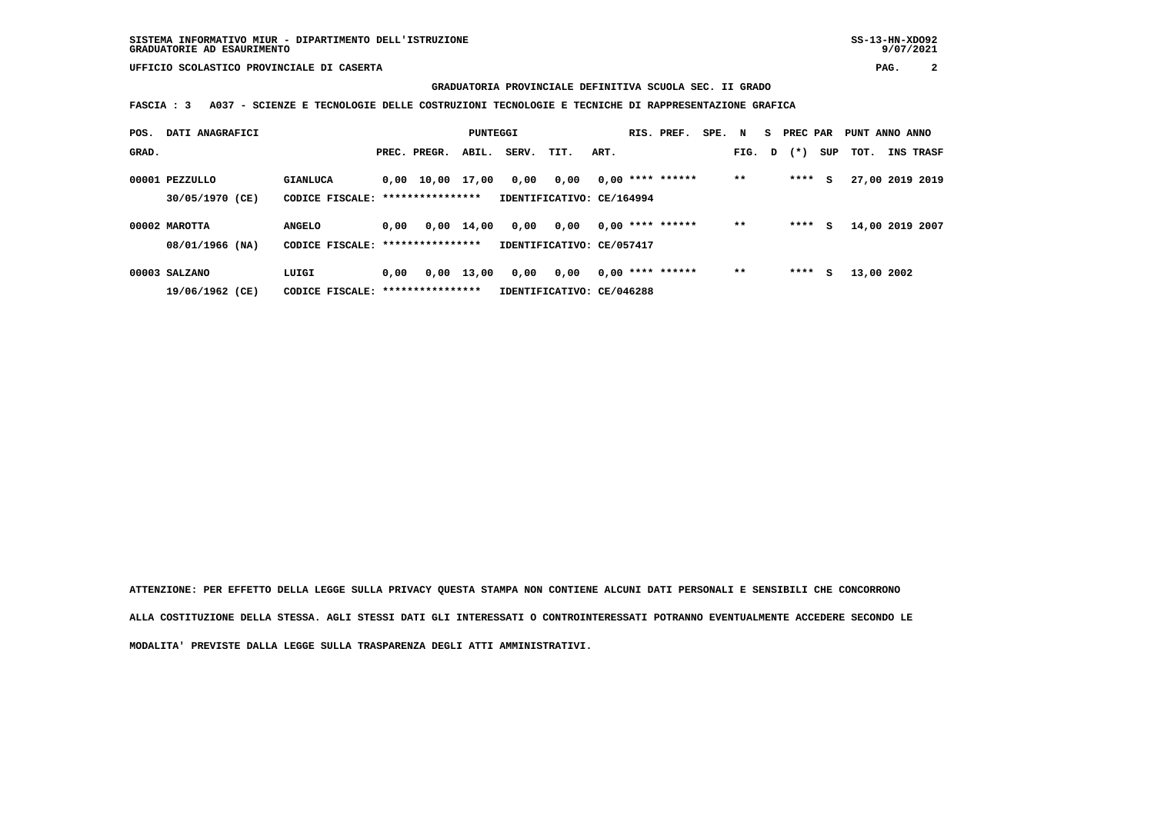## **GRADUATORIA PROVINCIALE DEFINITIVA SCUOLA SEC. II GRADO**

 **FASCIA : 3 A037 - SCIENZE E TECNOLOGIE DELLE COSTRUZIONI TECNOLOGIE E TECNICHE DI RAPPRESENTAZIONE GRAFICA**

| POS.  | DATI ANAGRAFICI                   |                                    |      |                                      | <b>PUNTEGGI</b> |       |                                   |      | RIS. PREF.         | SPE. N |        | s | PREC PAR |     | PUNT ANNO ANNO  |           |
|-------|-----------------------------------|------------------------------------|------|--------------------------------------|-----------------|-------|-----------------------------------|------|--------------------|--------|--------|---|----------|-----|-----------------|-----------|
| GRAD. |                                   |                                    |      | PREC. PREGR.                         | ABIL.           | SERV. | TIT.                              | ART. |                    |        | FIG. D |   | $(* )$   | SUP | тот.            | INS TRASF |
|       | 00001 PEZZULLO<br>30/05/1970 (CE) | <b>GIANLUCA</b><br>CODICE FISCALE: |      | 0,00 10,00 17,00<br>**************** |                 | 0,00  | 0,00<br>IDENTIFICATIVO: CE/164994 |      | $0,00$ **** ****** |        | $* *$  |   | ****     | s   | 27,00 2019 2019 |           |
|       | 00002 MAROTTA<br>08/01/1966 (NA)  | <b>ANGELO</b><br>CODICE FISCALE:   | 0.00 | ****************                     | $0,00$ 14,00    | 0,00  | 0,00<br>IDENTIFICATIVO: CE/057417 |      | $0.00$ **** ****** |        | $* *$  |   | ****     | s   | 14,00 2019 2007 |           |
|       | 00003 SALZANO<br>19/06/1962 (CE)  | LUIGI<br>CODICE FISCALE:           | 0.00 | ****************                     | $0,00$ 13,00    | 0,00  | 0.00<br>IDENTIFICATIVO: CE/046288 |      | $0.00$ **** ****** |        | $***$  |   | ****     | s   | 13,00 2002      |           |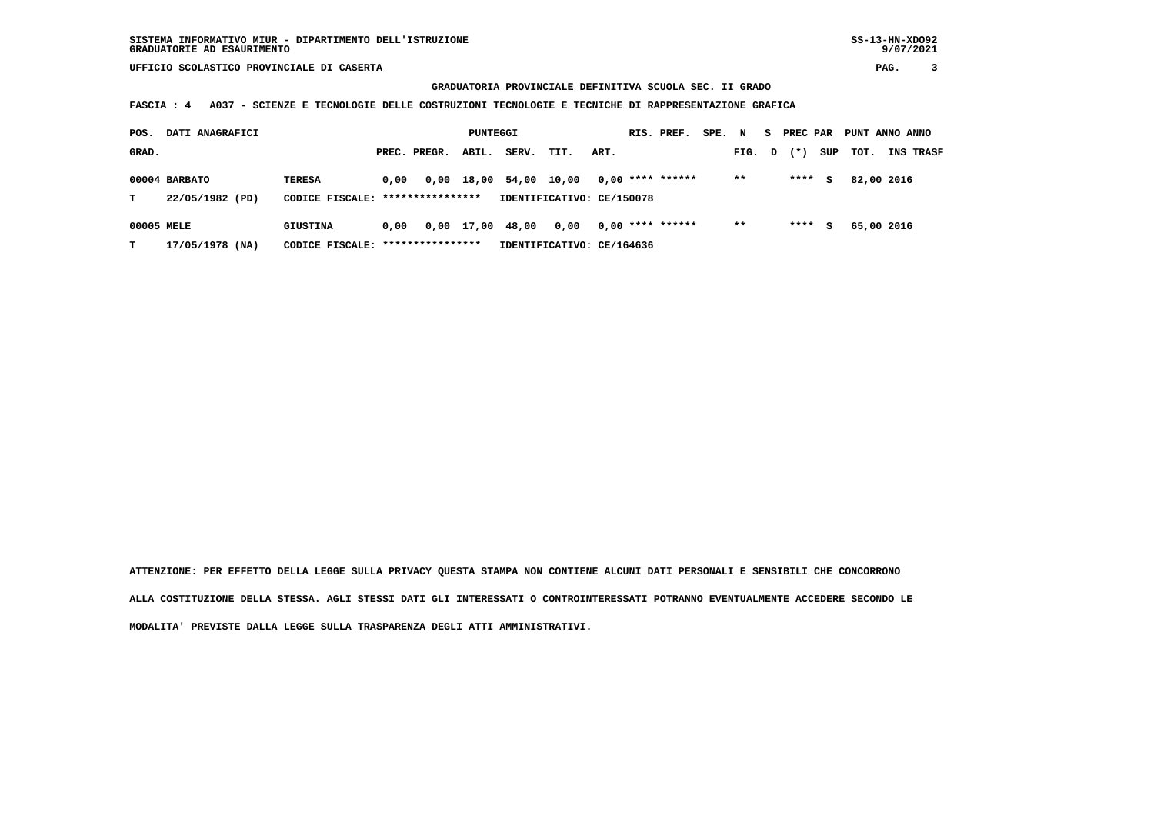## **GRADUATORIA PROVINCIALE DEFINITIVA SCUOLA SEC. II GRADO**

 **FASCIA : 4 A037 - SCIENZE E TECNOLOGIE DELLE COSTRUZIONI TECNOLOGIE E TECNICHE DI RAPPRESENTAZIONE GRAFICA**

| POS.       | DATI ANAGRAFICI                  |                                                   |      |              | PUNTEGGI |                        |                           |      | RIS. PREF.         | SPE. | N      | S. | PREC PAR |     | PUNT ANNO ANNO |           |
|------------|----------------------------------|---------------------------------------------------|------|--------------|----------|------------------------|---------------------------|------|--------------------|------|--------|----|----------|-----|----------------|-----------|
| GRAD.      |                                  |                                                   |      | PREC. PREGR. | ABIL.    | SERV.                  | TIT.                      | ART. |                    |      | FIG. D |    | $(*)$    | SUP | тот.           | INS TRASF |
| т          | 00004 BARBATO<br>22/05/1982 (PD) | <b>TERESA</b><br>CODICE FISCALE: **************** | 0.00 |              |          | 0,00 18,00 54,00 10,00 | IDENTIFICATIVO: CE/150078 |      | $0.00$ **** ****** |      | $* *$  |    | ****     | s   | 82,00 2016     |           |
|            |                                  |                                                   |      |              |          |                        |                           |      |                    |      |        |    |          |     |                |           |
| 00005 MELE |                                  | GIUSTINA                                          | 0.00 |              |          | 0,00 17,00 48,00       | 0,00                      |      | $0.00$ **** ****** |      | $***$  |    | ****     | s   | 65,00 2016     |           |
| т          | 17/05/1978 (NA)                  | CODICE FISCALE: *****************                 |      |              |          |                        | IDENTIFICATIVO: CE/164636 |      |                    |      |        |    |          |     |                |           |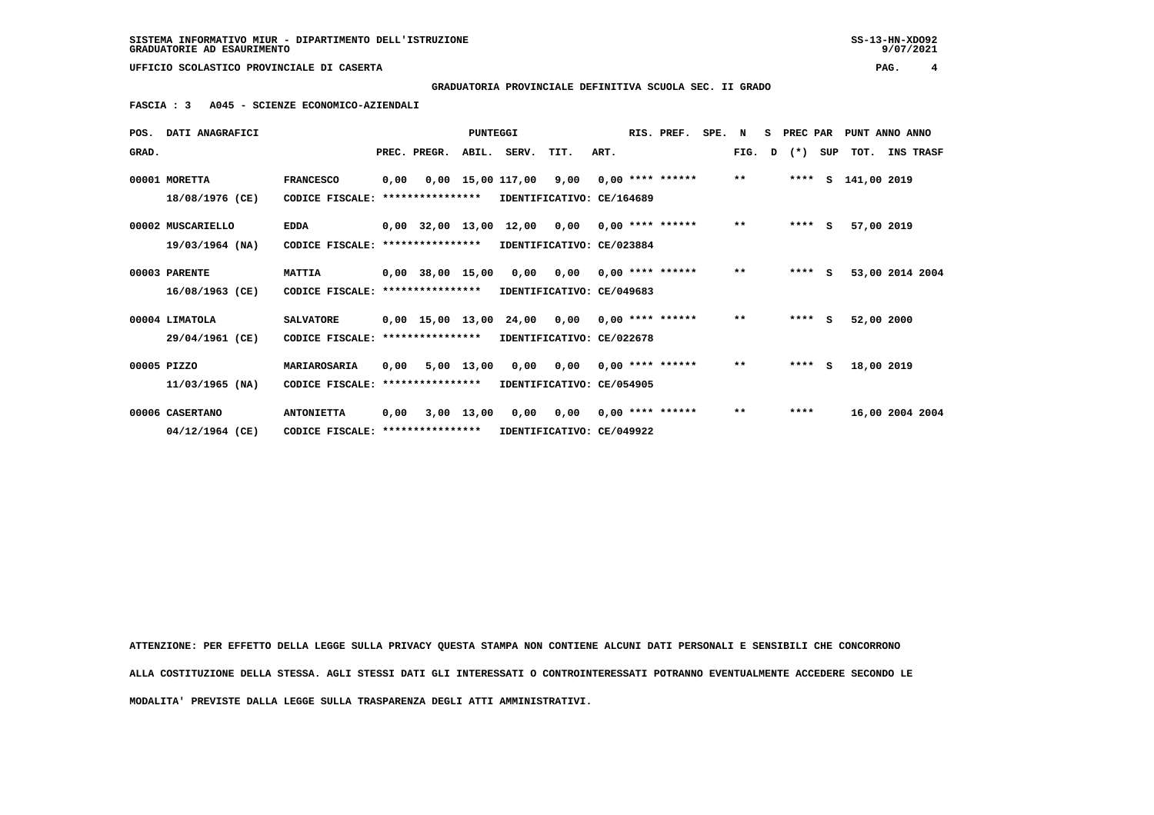# **GRADUATORIA PROVINCIALE DEFINITIVA SCUOLA SEC. II GRADO**

 **FASCIA : 3 A045 - SCIENZE ECONOMICO-AZIENDALI**

|       | POS. DATI ANAGRAFICI                   |                                      |      |                                      | PUNTEGGI   |                                                                                  |                                         |      | RIS. PREF.         | SPE. N |              |   | S PREC PAR |     | PUNT ANNO ANNO     |                 |  |
|-------|----------------------------------------|--------------------------------------|------|--------------------------------------|------------|----------------------------------------------------------------------------------|-----------------------------------------|------|--------------------|--------|--------------|---|------------|-----|--------------------|-----------------|--|
| GRAD. |                                        |                                      |      | PREC. PREGR.                         | ABIL.      | SERV.                                                                            | TIT.                                    | ART. |                    |        | FIG.         | D | $(* )$     | SUP | TOT.               | INS TRASF       |  |
|       | 00001 MORETTA<br>18/08/1976 (CE)       | <b>FRANCESCO</b><br>CODICE FISCALE:  |      | ****************                     |            | 0,00  0,00  15,00  117,00  9,00  0,00  ****  ******<br>IDENTIFICATIVO: CE/164689 |                                         |      |                    |        | $\star\star$ |   |            |     | **** S 141,00 2019 |                 |  |
|       | 00002 MUSCARIELLO<br>$19/03/1964$ (NA) | <b>EDDA</b><br>CODICE FISCALE:       |      | ****************                     |            | $0,00$ 32,00 13,00 12,00 0,00 0,00 **** ******<br>IDENTIFICATIVO: CE/023884      |                                         |      |                    |        | $* *$        |   | $***$ S    |     | 57,00 2019         |                 |  |
|       | 00003 PARENTE<br>16/08/1963 (CE)       | <b>MATTIA</b><br>CODICE FISCALE:     |      | 0,00 38,00 15,00<br>**************** |            | 0,00 0,00<br>IDENTIFICATIVO: CE/049683                                           |                                         |      | $0.00$ **** ****** |        | $***$        |   | $***$ S    |     |                    | 53,00 2014 2004 |  |
|       | 00004 LIMATOLA<br>29/04/1961 (CE)      | <b>SALVATORE</b><br>CODICE FISCALE:  |      | 0,00 15,00 13,00<br>**************** |            |                                                                                  | 24,00 0,00<br>IDENTIFICATIVO: CE/022678 |      | $0.00$ **** ****** |        | $***$        |   | $***$ S    |     | 52,00 2000         |                 |  |
|       | 00005 PIZZO<br>$11/03/1965$ (NA)       | MARIAROSARIA<br>CODICE FISCALE:      | 0,00 | ****************                     |            | 5,00 13,00 0,00 0,00                                                             | IDENTIFICATIVO: CE/054905               |      | $0.00$ **** ****** |        | $**$         |   | $***$ S    |     | 18,00 2019         |                 |  |
|       | 00006 CASERTANO<br>04/12/1964 (CE)     | <b>ANTONIETTA</b><br>CODICE FISCALE: | 0,00 | ****************                     | 3,00 13,00 | 0,00<br>IDENTIFICATIVO: CE/049922                                                | 0,00                                    |      | $0.00$ **** ****** |        | $\star\star$ |   | ****       |     |                    | 16,00 2004 2004 |  |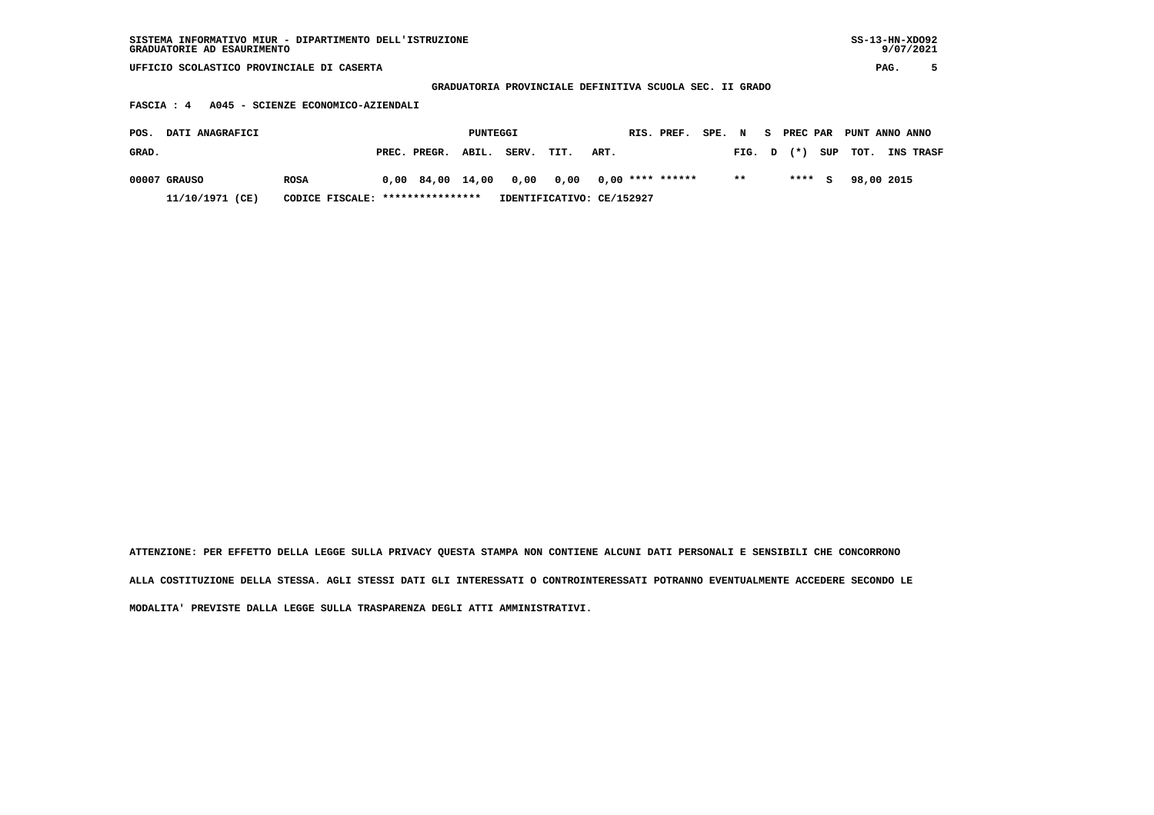**GRADUATORIA PROVINCIALE DEFINITIVA SCUOLA SEC. II GRADO**

 **FASCIA : 4 A045 - SCIENZE ECONOMICO-AZIENDALI**

| POS.  | <b>DATI ANAGRAFICI</b> |                                  |                    | PUNTEGGI |                                               |      |      | RIS. PREF. | SPE. N |               |        | S PREC PAR PUNT ANNO ANNO |                  |
|-------|------------------------|----------------------------------|--------------------|----------|-----------------------------------------------|------|------|------------|--------|---------------|--------|---------------------------|------------------|
| GRAD. |                        |                                  | PREC. PREGR. ABIL. |          | SERV.                                         | TIT. | ART. |            |        |               |        | FIG. $D$ $(*)$ SUP TOT.   | <b>INS TRASF</b> |
|       | 00007 GRAUSO           | <b>ROSA</b>                      |                    |          | $0,00$ 84,00 14,00 0,00 0,00 0,00 **** ****** |      |      |            |        | $\star \star$ | **** S | 98,00 2015                |                  |
|       | 11/10/1971 (CE)        | CODICE FISCALE: **************** |                    |          | IDENTIFICATIVO: CE/152927                     |      |      |            |        |               |        |                           |                  |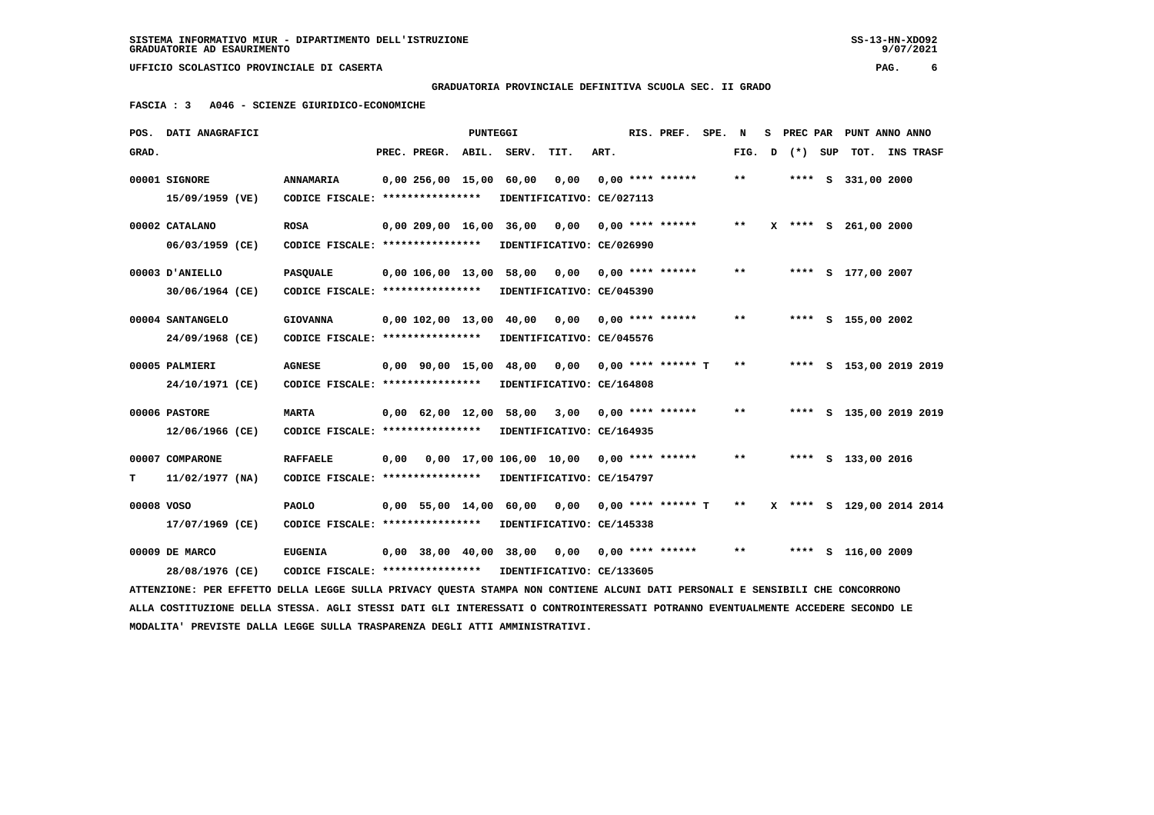**GRADUATORIA PROVINCIALE DEFINITIVA SCUOLA SEC. II GRADO**

 **FASCIA : 3 A046 - SCIENZE GIURIDICO-ECONOMICHE**

|            | POS. DATI ANAGRAFICI                                                                                                            |                                   |                         | PUNTEGGI |                                                 |                           |      | RIS. PREF.                  | SPE. | N     | s | PREC PAR |     | PUNT ANNO ANNO            |                  |  |
|------------|---------------------------------------------------------------------------------------------------------------------------------|-----------------------------------|-------------------------|----------|-------------------------------------------------|---------------------------|------|-----------------------------|------|-------|---|----------|-----|---------------------------|------------------|--|
| GRAD.      |                                                                                                                                 |                                   | PREC. PREGR.            | ABIL.    | SERV.                                           | TIT.                      | ART. |                             |      | FIG.  | D | $(*)$    | SUP | TOT.                      | <b>INS TRASF</b> |  |
|            | 00001 SIGNORE                                                                                                                   | <b>ANNAMARIA</b>                  | 0,00 256,00 15,00 60,00 |          |                                                 | 0,00                      |      | $0,00$ **** ******          |      | $* *$ |   |          |     | **** S 331,00 2000        |                  |  |
|            | 15/09/1959 (VE)                                                                                                                 | CODICE FISCALE: ****************  |                         |          |                                                 | IDENTIFICATIVO: CE/027113 |      |                             |      |       |   |          |     |                           |                  |  |
|            | 00002 CATALANO                                                                                                                  | <b>ROSA</b>                       |                         |          | 0,00 209,00 16,00 36,00 0,00                    |                           |      | 0,00 **** ******            |      | $* *$ |   |          |     | X **** S 261,00 2000      |                  |  |
|            | $06/03/1959$ (CE)                                                                                                               | CODICE FISCALE: ***************** |                         |          |                                                 | IDENTIFICATIVO: CE/026990 |      |                             |      |       |   |          |     |                           |                  |  |
|            | 00003 D'ANIELLO                                                                                                                 | <b>PASQUALE</b>                   |                         |          | $0,00$ 106,00 13,00 58,00 0,00 0,00 **** ****** |                           |      |                             |      | $* *$ |   |          |     | **** S 177,00 2007        |                  |  |
|            | 30/06/1964 (CE)                                                                                                                 | CODICE FISCALE: ****************  |                         |          |                                                 | IDENTIFICATIVO: CE/045390 |      |                             |      |       |   |          |     |                           |                  |  |
|            | 00004 SANTANGELO                                                                                                                | <b>GIOVANNA</b>                   |                         |          | 0,00 102,00 13,00 40,00 0,00                    |                           |      | $0.00$ **** ******          |      | $* *$ |   |          |     | **** S 155,00 2002        |                  |  |
|            | 24/09/1968 (CE)                                                                                                                 | CODICE FISCALE: ****************  |                         |          |                                                 | IDENTIFICATIVO: CE/045576 |      |                             |      |       |   |          |     |                           |                  |  |
|            | 00005 PALMIERI                                                                                                                  | <b>AGNESE</b>                     |                         |          | 0,00 90,00 15,00 48,00                          |                           |      | $0,00$ $0,00$ **** ****** T |      | $***$ |   |          |     | **** S 153,00 2019 2019   |                  |  |
|            | 24/10/1971 (CE)                                                                                                                 | CODICE FISCALE: ****************  |                         |          |                                                 | IDENTIFICATIVO: CE/164808 |      |                             |      |       |   |          |     |                           |                  |  |
|            | 00006 PASTORE                                                                                                                   | <b>MARTA</b>                      | $0,00$ $62,00$ $12,00$  |          |                                                 | 58,00 3,00                |      | 0,00 **** ******            |      | $* *$ |   |          |     | **** S 135,00 2019 2019   |                  |  |
|            | 12/06/1966 (CE)                                                                                                                 | CODICE FISCALE: ***************** |                         |          |                                                 | IDENTIFICATIVO: CE/164935 |      |                             |      |       |   |          |     |                           |                  |  |
|            | 00007 COMPARONE                                                                                                                 | <b>RAFFAELE</b>                   |                         |          |                                                 |                           |      |                             |      | **    |   |          |     | **** S 133,00 2016        |                  |  |
| т          | 11/02/1977 (NA)                                                                                                                 | CODICE FISCALE: ***************** |                         |          |                                                 | IDENTIFICATIVO: CE/154797 |      |                             |      |       |   |          |     |                           |                  |  |
| 00008 VOSO |                                                                                                                                 | <b>PAOLO</b>                      |                         |          | 0,00 55,00 14,00 60,00 0,00                     |                           |      | $0,00$ **** ****** T **     |      |       |   |          |     | X **** S 129,00 2014 2014 |                  |  |
|            | 17/07/1969 (CE)                                                                                                                 | CODICE FISCALE: ***************** |                         |          |                                                 | IDENTIFICATIVO: CE/145338 |      |                             |      |       |   |          |     |                           |                  |  |
|            | 00009 DE MARCO                                                                                                                  | <b>EUGENIA</b>                    |                         |          | 0,00 38,00 40,00 38,00 0,00                     |                           |      | $0.00$ **** ******          |      | **    |   |          |     | **** S 116,00 2009        |                  |  |
|            | 28/08/1976 (CE)                                                                                                                 | CODICE FISCALE: ****************  |                         |          |                                                 | IDENTIFICATIVO: CE/133605 |      |                             |      |       |   |          |     |                           |                  |  |
|            | ATTENZIONE: PER EFFETTO DELLA LEGGE SULLA PRIVACY QUESTA STAMPA NON CONTIENE ALCUNI DATI PERSONALI E SENSIBILI CHE CONCORRONO   |                                   |                         |          |                                                 |                           |      |                             |      |       |   |          |     |                           |                  |  |
|            | ALLA COSTITUZIONE DELLA STESSA. AGLI STESSI DATI GLI INTERESSATI O CONTROINTERESSATI POTRANNO EVENTUALMENTE ACCEDERE SECONDO LE |                                   |                         |          |                                                 |                           |      |                             |      |       |   |          |     |                           |                  |  |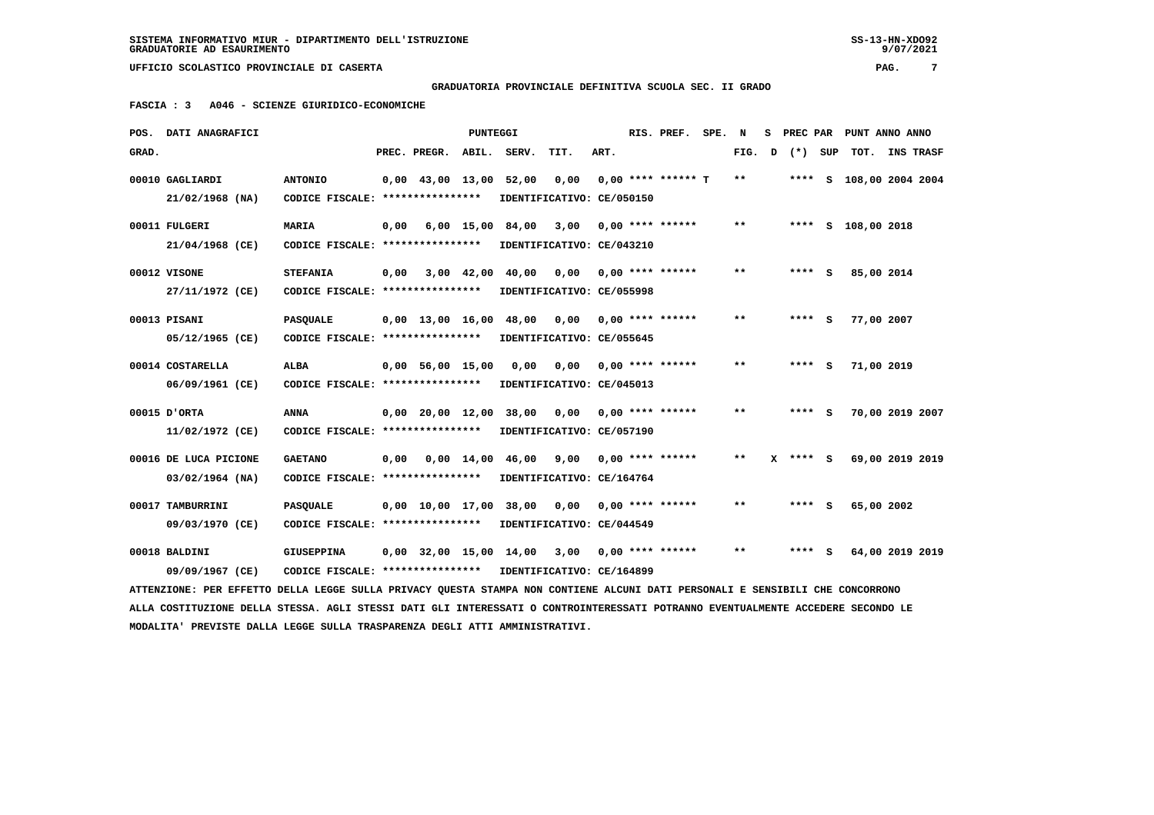#### **GRADUATORIA PROVINCIALE DEFINITIVA SCUOLA SEC. II GRADO**

 **FASCIA : 3 A046 - SCIENZE GIURIDICO-ECONOMICHE**

|       | POS. DATI ANAGRAFICI                                                                                                            |                                                     |      |                                            | <b>PUNTEGGI</b> |                                                |      |      | RIS. PREF.                | SPE. N |        | s |            |     | PREC PAR PUNT ANNO ANNO |           |
|-------|---------------------------------------------------------------------------------------------------------------------------------|-----------------------------------------------------|------|--------------------------------------------|-----------------|------------------------------------------------|------|------|---------------------------|--------|--------|---|------------|-----|-------------------------|-----------|
| GRAD. |                                                                                                                                 |                                                     |      | PREC. PREGR. ABIL.                         |                 | SERV.                                          | TIT. | ART. |                           |        | FIG. D |   | $(\star)$  | SUP | TOT.                    | INS TRASF |
|       | 00010 GAGLIARDI                                                                                                                 | <b>ANTONIO</b>                                      |      | $0.00 \quad 43.00 \quad 13.00 \quad 52.00$ |                 |                                                | 0,00 |      | $0.00$ **** ****** T      |        | $***$  |   |            |     | **** S 108,00 2004 2004 |           |
|       | $21/02/1968$ (NA)                                                                                                               | CODICE FISCALE: ****************                    |      |                                            |                 | IDENTIFICATIVO: CE/050150                      |      |      |                           |        |        |   |            |     |                         |           |
|       | 00011 FULGERI                                                                                                                   | <b>MARIA</b>                                        | 0,00 |                                            |                 | $6,00$ 15,00 84,00                             | 3,00 |      | $0,00$ **** ******        |        | $* *$  |   |            |     | **** S 108,00 2018      |           |
|       | 21/04/1968 (CE)                                                                                                                 | CODICE FISCALE: *****************                   |      |                                            |                 | IDENTIFICATIVO: CE/043210                      |      |      |                           |        |        |   |            |     |                         |           |
|       | 00012 VISONE                                                                                                                    | <b>STEFANIA</b>                                     | 0.00 |                                            | $3,00$ 42,00    | 40,00                                          | 0.00 |      | $0.00$ **** ******        |        | $**$   |   | **** S     |     | 85,00 2014              |           |
|       | 27/11/1972 (CE)                                                                                                                 | CODICE FISCALE: ****************                    |      |                                            |                 | IDENTIFICATIVO: CE/055998                      |      |      |                           |        |        |   |            |     |                         |           |
|       | 00013 PISANI                                                                                                                    |                                                     |      |                                            |                 | $0,00$ 13,00 16,00 48,00                       |      |      | $0,00$ $0,00$ **** ****** |        | $* *$  |   | **** S     |     | 77,00 2007              |           |
|       | 05/12/1965 (CE)                                                                                                                 | <b>PASQUALE</b><br>CODICE FISCALE: **************** |      |                                            |                 | IDENTIFICATIVO: CE/055645                      |      |      |                           |        |        |   |            |     |                         |           |
|       |                                                                                                                                 |                                                     |      |                                            |                 |                                                |      |      |                           |        |        |   |            |     |                         |           |
|       | 00014 COSTARELLA                                                                                                                | ALBA                                                |      | $0.00$ 56,00 15,00                         |                 | 0.00                                           |      |      | $0.00$ $0.00$ **** ****** |        | $* *$  |   | **** S     |     | 71,00 2019              |           |
|       | 06/09/1961 (CE)                                                                                                                 | CODICE FISCALE: ****************                    |      |                                            |                 | IDENTIFICATIVO: CE/045013                      |      |      |                           |        |        |   |            |     |                         |           |
|       | 00015 D'ORTA                                                                                                                    | ANNA                                                |      |                                            |                 | $0,00$ 20,00 12,00 38,00 0,00 0,00 **** ****** |      |      |                           |        | $* *$  |   | **** S     |     | 70,00 2019 2007         |           |
|       | 11/02/1972 (CE)                                                                                                                 | CODICE FISCALE: ****************                    |      |                                            |                 | IDENTIFICATIVO: CE/057190                      |      |      |                           |        |        |   |            |     |                         |           |
|       |                                                                                                                                 |                                                     |      |                                            |                 |                                                |      |      |                           |        |        |   |            |     |                         |           |
|       | 00016 DE LUCA PICIONE                                                                                                           | <b>GAETANO</b>                                      | 0,00 |                                            |                 | $0.00 \quad 14.00 \quad 46.00$                 | 9,00 |      | $0.00$ **** ******        |        | $***$  |   | $X$ **** S |     | 69,00 2019 2019         |           |
|       | $03/02/1964$ (NA)                                                                                                               | CODICE FISCALE: ****************                    |      |                                            |                 | IDENTIFICATIVO: CE/164764                      |      |      |                           |        |        |   |            |     |                         |           |
|       | 00017 TAMBURRINI                                                                                                                | <b>PASQUALE</b>                                     |      |                                            |                 | 0,00 10,00 17,00 38,00                         | 0,00 |      | $0.00$ **** ******        |        | $***$  |   | **** S     |     | 65,00 2002              |           |
|       | 09/03/1970 (CE)                                                                                                                 | CODICE FISCALE: ****************                    |      |                                            |                 | IDENTIFICATIVO: CE/044549                      |      |      |                           |        |        |   |            |     |                         |           |
|       |                                                                                                                                 |                                                     |      |                                            |                 |                                                |      |      |                           |        | $* *$  |   |            |     |                         |           |
|       | 00018 BALDINI                                                                                                                   | GIUSEPPINA                                          |      |                                            |                 | $0,00$ 32,00 15,00 14,00 3,00 0,00 **** ****** |      |      |                           |        |        |   | $***$ S    |     | 64,00 2019 2019         |           |
|       | 09/09/1967 (CE)                                                                                                                 | CODICE FISCALE: ****************                    |      |                                            |                 | IDENTIFICATIVO: CE/164899                      |      |      |                           |        |        |   |            |     |                         |           |
|       | ATTENZIONE: PER EFFETTO DELLA LEGGE SULLA PRIVACY QUESTA STAMPA NON CONTIENE ALCUNI DATI PERSONALI E SENSIBILI CHE CONCORRONO   |                                                     |      |                                            |                 |                                                |      |      |                           |        |        |   |            |     |                         |           |
|       | ALLA COSTITUZIONE DELLA STESSA. AGLI STESSI DATI GLI INTERESSATI O CONTROINTERESSATI POTRANNO EVENTUALMENTE ACCEDERE SECONDO LE |                                                     |      |                                            |                 |                                                |      |      |                           |        |        |   |            |     |                         |           |
|       | MODALITA' PREVISTE DALLA LEGGE SULLA TRASPARENZA DEGLI ATTI AMMINISTRATIVI.                                                     |                                                     |      |                                            |                 |                                                |      |      |                           |        |        |   |            |     |                         |           |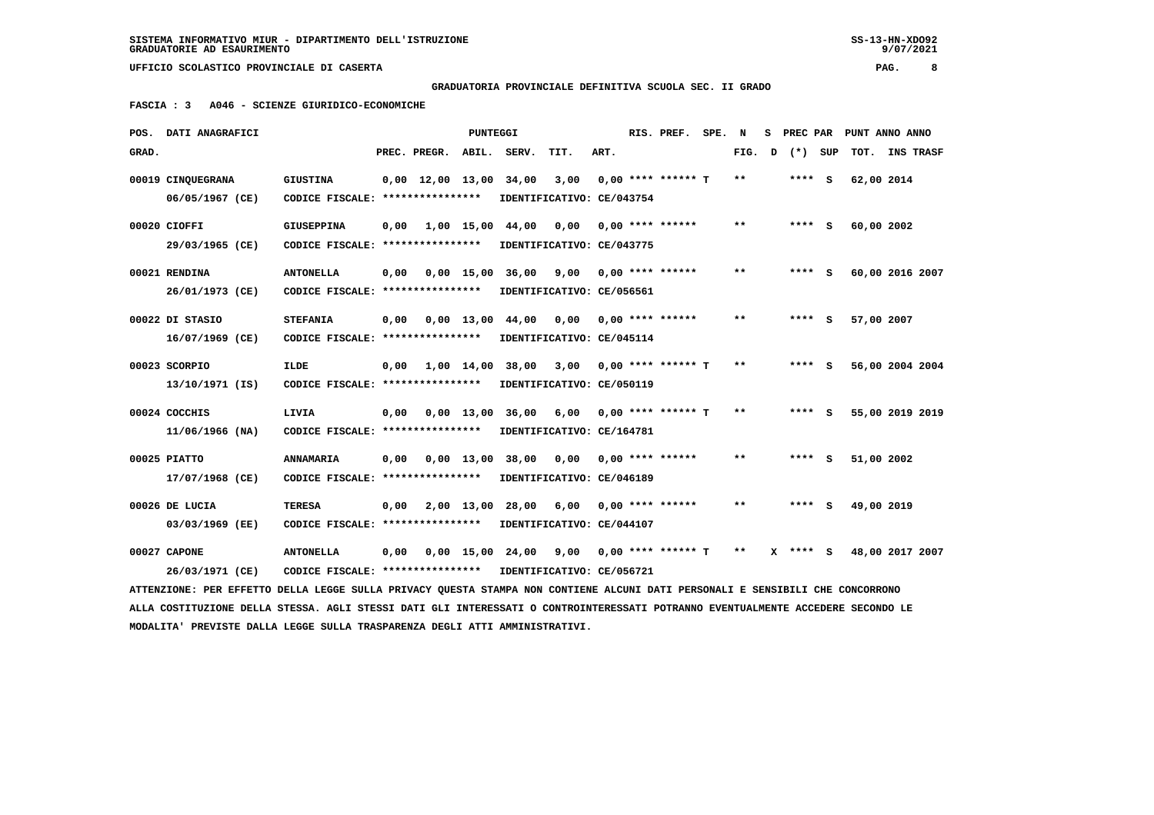**GRADUATORIA PROVINCIALE DEFINITIVA SCUOLA SEC. II GRADO**

 **FASCIA : 3 A046 - SCIENZE GIURIDICO-ECONOMICHE**

|       | POS. DATI ANAGRAFICI                                                                                                            |                                                            |      |                    | PUNTEGGI |                                          |      |      | RIS. PREF.                | SPE. | N     | s |              | PREC PAR PUNT ANNO ANNO |                 |  |
|-------|---------------------------------------------------------------------------------------------------------------------------------|------------------------------------------------------------|------|--------------------|----------|------------------------------------------|------|------|---------------------------|------|-------|---|--------------|-------------------------|-----------------|--|
| GRAD. |                                                                                                                                 |                                                            |      | PREC. PREGR.       | ABIL.    | SERV.                                    | TIT. | ART. |                           |      | FIG.  | D | (*) SUP      | TOT. INS TRASF          |                 |  |
|       | 00019 CINQUEGRANA                                                                                                               | <b>GIUSTINA</b>                                            |      | $0,00$ 12,00 13,00 |          | 34,00                                    | 3,00 |      | $0.00$ **** ****** T      |      | $***$ |   | $***$ S      | 62,00 2014              |                 |  |
|       | 06/05/1967 (CE)                                                                                                                 | CODICE FISCALE: ****************                           |      |                    |          | IDENTIFICATIVO: CE/043754                |      |      |                           |      |       |   |              |                         |                 |  |
|       | 00020 CIOFFI                                                                                                                    | <b>GIUSEPPINA</b>                                          | 0,00 |                    |          | 1,00 15,00 44,00                         | 0,00 |      | $0.00$ **** ******        |      | **    |   | $***$ S      | 60,00 2002              |                 |  |
|       | 29/03/1965 (CE)                                                                                                                 | CODICE FISCALE: *****************                          |      |                    |          | IDENTIFICATIVO: CE/043775                |      |      |                           |      |       |   |              |                         |                 |  |
|       |                                                                                                                                 |                                                            |      |                    |          |                                          |      |      |                           |      | $* *$ |   |              |                         |                 |  |
|       | 00021 RENDINA                                                                                                                   | <b>ANTONELLA</b>                                           | 0,00 |                    |          | 0,00 15,00 36,00 9,00 0,00 **** ******   |      |      |                           |      |       |   | **** S       | 60,00 2016 2007         |                 |  |
|       | 26/01/1973 (CE)                                                                                                                 | CODICE FISCALE: ****************                           |      |                    |          | IDENTIFICATIVO: CE/056561                |      |      |                           |      |       |   |              |                         |                 |  |
|       | 00022 DI STASIO                                                                                                                 | <b>STEFANIA</b>                                            | 0,00 |                    |          | 0,00 13,00 44,00                         | 0.00 |      | $0.00$ **** ******        |      | $**$  |   | $***$ S      | 57,00 2007              |                 |  |
|       | 16/07/1969 (CE)                                                                                                                 | CODICE FISCALE: *****************                          |      |                    |          | IDENTIFICATIVO: CE/045114                |      |      |                           |      |       |   |              |                         |                 |  |
|       | 00023 SCORPIO                                                                                                                   | <b>ILDE</b>                                                |      |                    |          | 1,00 14,00 38,00                         |      |      | $3.00$ 0.00 **** ****** T |      | $* *$ |   | $***$ S      | 56,00 2004 2004         |                 |  |
|       |                                                                                                                                 |                                                            | 0,00 |                    |          |                                          |      |      |                           |      |       |   |              |                         |                 |  |
|       | 13/10/1971 (IS)                                                                                                                 | CODICE FISCALE: ****************                           |      |                    |          | IDENTIFICATIVO: CE/050119                |      |      |                           |      |       |   |              |                         |                 |  |
|       | 00024 COCCHIS                                                                                                                   | LIVIA                                                      | 0,00 |                    |          | 0,00 13,00 36,00                         | 6,00 |      | 0,00 **** ****** T        |      | $***$ |   | **** S       |                         | 55,00 2019 2019 |  |
|       | 11/06/1966 (NA)                                                                                                                 | CODICE FISCALE: *****************                          |      |                    |          | IDENTIFICATIVO: CE/164781                |      |      |                           |      |       |   |              |                         |                 |  |
|       |                                                                                                                                 |                                                            |      |                    |          |                                          |      |      |                           |      |       |   |              |                         |                 |  |
|       | 00025 PIATTO                                                                                                                    | <b>ANNAMARIA</b>                                           | 0,00 |                    |          | 0,00 13,00 38,00 0,00 0,00 **** ******   |      |      |                           |      | **    |   | **** S       | 51,00 2002              |                 |  |
|       | 17/07/1968 (CE)                                                                                                                 | CODICE FISCALE: ****************                           |      |                    |          | IDENTIFICATIVO: CE/046189                |      |      |                           |      |       |   |              |                         |                 |  |
|       | 00026 DE LUCIA                                                                                                                  | <b>TERESA</b>                                              | 0,00 |                    |          | 2,00 13,00 28,00                         | 6,00 |      | $0.00$ **** ******        |      | $* *$ |   | **** S       | 49,00 2019              |                 |  |
|       | 03/03/1969 (EE)                                                                                                                 | CODICE FISCALE: ****************                           |      |                    |          | IDENTIFICATIVO: CE/044107                |      |      |                           |      |       |   |              |                         |                 |  |
|       |                                                                                                                                 |                                                            |      |                    |          |                                          |      |      |                           |      |       |   |              |                         |                 |  |
|       | 00027 CAPONE                                                                                                                    | <b>ANTONELLA</b>                                           | 0,00 |                    |          | 0,00 15,00 24,00 9,00 0,00 **** ****** T |      |      |                           |      | $***$ |   | $X$ **** $S$ | 48,00 2017 2007         |                 |  |
|       | 26/03/1971 (CE)                                                                                                                 | CODICE FISCALE: **************** IDENTIFICATIVO: CE/056721 |      |                    |          |                                          |      |      |                           |      |       |   |              |                         |                 |  |
|       | ATTENZIONE: PER EFFETTO DELLA LEGGE SULLA PRIVACY QUESTA STAMPA NON CONTIENE ALCUNI DATI PERSONALI E SENSIBILI CHE CONCORRONO   |                                                            |      |                    |          |                                          |      |      |                           |      |       |   |              |                         |                 |  |
|       | ALLA COSTITUZIONE DELLA STESSA. AGLI STESSI DATI GLI INTERESSATI O CONTROINTERESSATI POTRANNO EVENTUALMENTE ACCEDERE SECONDO LE |                                                            |      |                    |          |                                          |      |      |                           |      |       |   |              |                         |                 |  |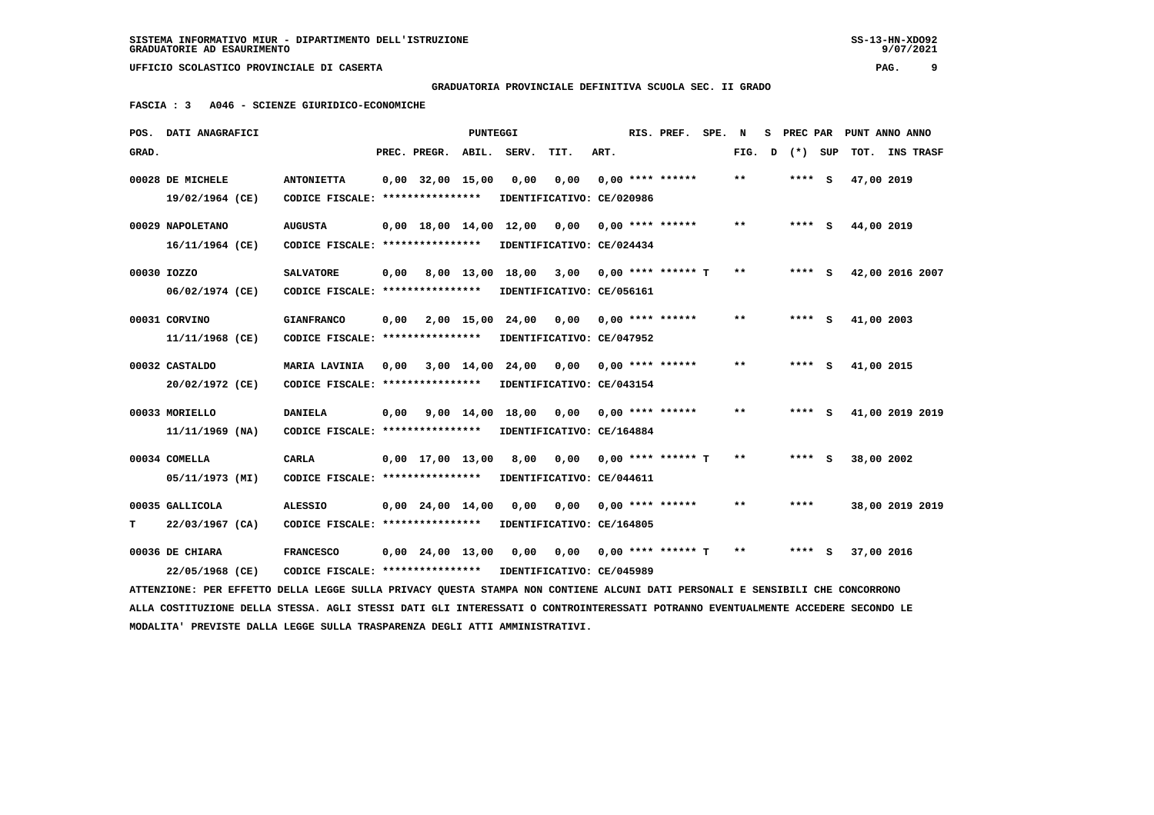**GRADUATORIA PROVINCIALE DEFINITIVA SCUOLA SEC. II GRADO**

 **FASCIA : 3 A046 - SCIENZE GIURIDICO-ECONOMICHE**

| POS.  | DATI ANAGRAFICI                                                                                                                 |                                   |      |                                            | PUNTEGGI   |                           |                           |      | RIS. PREF.                  | SPE. | N     | s | PREC PAR |     | PUNT ANNO ANNO  |                 |  |
|-------|---------------------------------------------------------------------------------------------------------------------------------|-----------------------------------|------|--------------------------------------------|------------|---------------------------|---------------------------|------|-----------------------------|------|-------|---|----------|-----|-----------------|-----------------|--|
| GRAD. |                                                                                                                                 |                                   |      | PREC. PREGR.                               | ABIL.      | SERV.                     | TIT.                      | ART. |                             |      | FIG.  | D | $(*)$    | SUP | TOT.            | INS TRASF       |  |
|       | 00028 DE MICHELE                                                                                                                | <b>ANTONIETTA</b>                 |      | $0,00$ 32,00 15,00                         |            | 0,00                      | 0,00                      |      | $0.00$ **** ******          |      | $***$ |   | $***$ S  |     | 47,00 2019      |                 |  |
|       | 19/02/1964 (CE)                                                                                                                 | CODICE FISCALE: ****************  |      |                                            |            |                           | IDENTIFICATIVO: CE/020986 |      |                             |      |       |   |          |     |                 |                 |  |
|       | 00029 NAPOLETANO                                                                                                                | <b>AUGUSTA</b>                    |      | $0.00 \quad 18.00 \quad 14.00 \quad 12.00$ |            |                           | 0,00                      |      | $0.00$ **** ******          |      | $***$ |   | $***$ S  |     | 44,00 2019      |                 |  |
|       | 16/11/1964 (CE)                                                                                                                 | CODICE FISCALE: ****************  |      |                                            |            |                           | IDENTIFICATIVO: CE/024434 |      |                             |      |       |   |          |     |                 |                 |  |
|       | 00030 IOZZO                                                                                                                     | <b>SALVATORE</b>                  | 0,00 | 8,00 13,00                                 |            | 18,00                     | 3,00                      |      | $0,00$ **** ****** T        |      | $* *$ |   | **** S   |     | 42,00 2016 2007 |                 |  |
|       | 06/02/1974 (CE)                                                                                                                 | CODICE FISCALE: ****************  |      |                                            |            |                           | IDENTIFICATIVO: CE/056161 |      |                             |      |       |   |          |     |                 |                 |  |
|       | 00031 CORVINO                                                                                                                   | <b>GIANFRANCO</b>                 | 0,00 |                                            | 2,00 15,00 | 24,00                     | 0,00                      |      | $0,00$ **** ******          |      | $***$ |   | **** S   |     | 41,00 2003      |                 |  |
|       | 11/11/1968 (CE)                                                                                                                 | CODICE FISCALE: ***************** |      |                                            |            |                           | IDENTIFICATIVO: CE/047952 |      |                             |      |       |   |          |     |                 |                 |  |
|       | 00032 CASTALDO                                                                                                                  | MARIA LAVINIA                     | 0,00 |                                            |            | 3,00 14,00 24,00          | 0,00 0,00 **** ******     |      |                             |      | $* *$ |   | **** S   |     | 41,00 2015      |                 |  |
|       | 20/02/1972 (CE)                                                                                                                 | CODICE FISCALE: ****************  |      |                                            |            |                           | IDENTIFICATIVO: CE/043154 |      |                             |      |       |   |          |     |                 |                 |  |
|       | 00033 MORIELLO                                                                                                                  | <b>DANIELA</b>                    | 0,00 |                                            | 9,00 14,00 | 18,00                     | 0,00                      |      | $0.00$ **** ******          |      | **    |   | $***$ S  |     | 41,00 2019 2019 |                 |  |
|       | $11/11/1969$ (NA)                                                                                                               | CODICE FISCALE: ****************  |      |                                            |            | IDENTIFICATIVO: CE/164884 |                           |      |                             |      |       |   |          |     |                 |                 |  |
|       | 00034 COMELLA                                                                                                                   | <b>CARLA</b>                      |      | $0.00 \quad 17.00 \quad 13.00$             |            | 8,00                      | 0.00                      |      | $0.00$ **** ****** T        |      | $**$  |   | $***$ S  |     | 38,00 2002      |                 |  |
|       | 05/11/1973 (MI)                                                                                                                 | CODICE FISCALE: ****************  |      |                                            |            |                           | IDENTIFICATIVO: CE/044611 |      |                             |      |       |   |          |     |                 |                 |  |
|       | 00035 GALLICOLA                                                                                                                 | <b>ALESSIO</b>                    |      | $0,00$ 24,00 14,00                         |            | 0.00                      | 0.00                      |      | $0.00$ **** ******          |      | $***$ |   | ****     |     |                 | 38,00 2019 2019 |  |
| т     | 22/03/1967 (CA)                                                                                                                 | CODICE FISCALE: ****************  |      |                                            |            |                           | IDENTIFICATIVO: CE/164805 |      |                             |      |       |   |          |     |                 |                 |  |
|       | 00036 DE CHIARA                                                                                                                 | <b>FRANCESCO</b>                  |      | $0,00$ $24,00$ $13,00$                     |            | 0.00                      |                           |      | $0.00$ $0.00$ **** ****** T |      | $***$ |   | **** S   |     | 37,00 2016      |                 |  |
|       | 22/05/1968 (CE)                                                                                                                 | CODICE FISCALE: ***************** |      |                                            |            | IDENTIFICATIVO: CE/045989 |                           |      |                             |      |       |   |          |     |                 |                 |  |
|       | ATTENZIONE: PER EFFETTO DELLA LEGGE SULLA PRIVACY QUESTA STAMPA NON CONTIENE ALCUNI DATI PERSONALI E SENSIBILI CHE CONCORRONO   |                                   |      |                                            |            |                           |                           |      |                             |      |       |   |          |     |                 |                 |  |
|       | ALLA COSTITUZIONE DELLA STESSA. AGLI STESSI DATI GLI INTERESSATI O CONTROINTERESSATI POTRANNO EVENTUALMENTE ACCEDERE SECONDO LE |                                   |      |                                            |            |                           |                           |      |                             |      |       |   |          |     |                 |                 |  |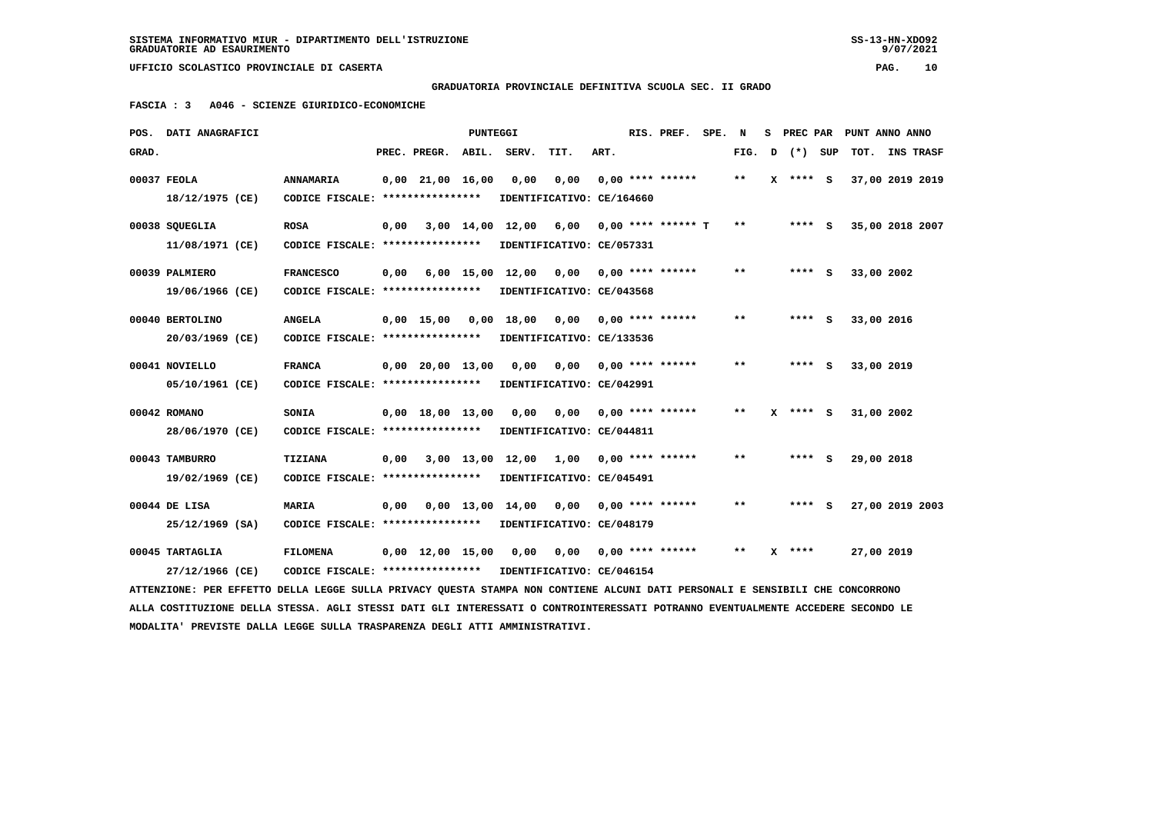**GRADUATORIA PROVINCIALE DEFINITIVA SCUOLA SEC. II GRADO**

 **FASCIA : 3 A046 - SCIENZE GIURIDICO-ECONOMICHE**

|       | POS. DATI ANAGRAFICI                                                                                                            |                                   |      |                                | <b>PUNTEGGI</b> |                                          |                       |      | RIS. PREF.                | SPE. | N     | s. | PREC PAR     |     | PUNT ANNO ANNO  |                 |  |
|-------|---------------------------------------------------------------------------------------------------------------------------------|-----------------------------------|------|--------------------------------|-----------------|------------------------------------------|-----------------------|------|---------------------------|------|-------|----|--------------|-----|-----------------|-----------------|--|
| GRAD. |                                                                                                                                 |                                   |      | PREC. PREGR. ABIL. SERV.       |                 |                                          | TIT.                  | ART. |                           |      | FIG.  | D  | $(* )$       | SUP | TOT. INS TRASF  |                 |  |
|       | 00037 FEOLA                                                                                                                     | <b>ANNAMARIA</b>                  |      | $0.00$ $21.00$ $16.00$         |                 | 0,00                                     | 0,00                  |      | $0.00$ **** ******        |      | $* *$ |    | $X$ **** $S$ |     | 37,00 2019 2019 |                 |  |
|       | 18/12/1975 (CE)                                                                                                                 | CODICE FISCALE: ***************** |      |                                |                 | IDENTIFICATIVO: CE/164660                |                       |      |                           |      |       |    |              |     |                 |                 |  |
|       | 00038 SQUEGLIA                                                                                                                  | <b>ROSA</b>                       | 0,00 |                                |                 | 3,00 14,00 12,00                         | 6,00                  |      | $0.00$ **** ****** T      |      | $* *$ |    | **** S       |     |                 | 35,00 2018 2007 |  |
|       | 11/08/1971 (CE)                                                                                                                 | CODICE FISCALE: ***************** |      |                                |                 | IDENTIFICATIVO: CE/057331                |                       |      |                           |      |       |    |              |     |                 |                 |  |
|       | 00039 PALMIERO                                                                                                                  | <b>FRANCESCO</b>                  | 0,00 |                                |                 | $6,00$ 15,00 12,00 0,00 0,00 **** ****** |                       |      |                           |      | $* *$ |    | **** S       |     | 33,00 2002      |                 |  |
|       | 19/06/1966 (CE)                                                                                                                 | CODICE FISCALE: ****************  |      |                                |                 | IDENTIFICATIVO: CE/043568                |                       |      |                           |      |       |    |              |     |                 |                 |  |
|       | 00040 BERTOLINO                                                                                                                 | <b>ANGELA</b>                     |      | 0,00 15,00                     | 0,00            | 18,00                                    | 0,00                  |      | $0.00$ **** ******        |      | $* *$ |    | **** S       |     | 33,00 2016      |                 |  |
|       | 20/03/1969 (CE)                                                                                                                 | CODICE FISCALE: ****************  |      |                                |                 | IDENTIFICATIVO: CE/133536                |                       |      |                           |      |       |    |              |     |                 |                 |  |
|       | 00041 NOVIELLO                                                                                                                  | <b>FRANCA</b>                     |      | 0,00 20,00 13,00               |                 | 0,00                                     |                       |      | $0,00$ $0,00$ **** ****** |      | $* *$ |    | **** S       |     | 33,00 2019      |                 |  |
|       | 05/10/1961 (CE)                                                                                                                 | CODICE FISCALE: ****************  |      |                                |                 | IDENTIFICATIVO: CE/042991                |                       |      |                           |      |       |    |              |     |                 |                 |  |
|       | 00042 ROMANO                                                                                                                    | <b>SONIA</b>                      |      | $0,00 \quad 18,00 \quad 13,00$ |                 | 0,00                                     | 0,00 0,00 **** ****** |      |                           |      | $* *$ |    | X **** S     |     | 31,00 2002      |                 |  |
|       | 28/06/1970 (CE)                                                                                                                 | CODICE FISCALE: ****************  |      |                                |                 | IDENTIFICATIVO: CE/044811                |                       |      |                           |      |       |    |              |     |                 |                 |  |
|       | 00043 TAMBURRO                                                                                                                  | <b>TIZIANA</b>                    | 0,00 |                                |                 | 3,00 13,00 12,00                         | 1,00                  |      | $0.00$ **** ******        |      | **    |    | **** S       |     | 29,00 2018      |                 |  |
|       | 19/02/1969 (CE)                                                                                                                 | CODICE FISCALE: ***************** |      |                                |                 | IDENTIFICATIVO: CE/045491                |                       |      |                           |      |       |    |              |     |                 |                 |  |
|       | 00044 DE LISA                                                                                                                   | <b>MARIA</b>                      | 0.00 |                                |                 | $0.00$ 13.00 14.00 0.00 0.00 **** ****** |                       |      |                           |      | $***$ |    | **** S       |     | 27,00 2019 2003 |                 |  |
|       | 25/12/1969 (SA)                                                                                                                 | CODICE FISCALE: ***************** |      |                                |                 | IDENTIFICATIVO: CE/048179                |                       |      |                           |      |       |    |              |     |                 |                 |  |
|       | 00045 TARTAGLIA                                                                                                                 | <b>FILOMENA</b>                   |      | $0,00 \quad 12,00 \quad 15,00$ |                 | 0,00                                     | 0.00                  |      | $0.00$ **** ******        |      | $* *$ | x  | ****         |     | 27,00 2019      |                 |  |
|       | 27/12/1966 (CE)                                                                                                                 | CODICE FISCALE: ****************  |      |                                |                 | IDENTIFICATIVO: CE/046154                |                       |      |                           |      |       |    |              |     |                 |                 |  |
|       | ATTENZIONE: PER EFFETTO DELLA LEGGE SULLA PRIVACY QUESTA STAMPA NON CONTIENE ALCUNI DATI PERSONALI E SENSIBILI CHE CONCORRONO   |                                   |      |                                |                 |                                          |                       |      |                           |      |       |    |              |     |                 |                 |  |
|       | ALLA COSTITUZIONE DELLA STESSA. AGLI STESSI DATI GLI INTERESSATI O CONTROINTERESSATI POTRANNO EVENTUALMENTE ACCEDERE SECONDO LE |                                   |      |                                |                 |                                          |                       |      |                           |      |       |    |              |     |                 |                 |  |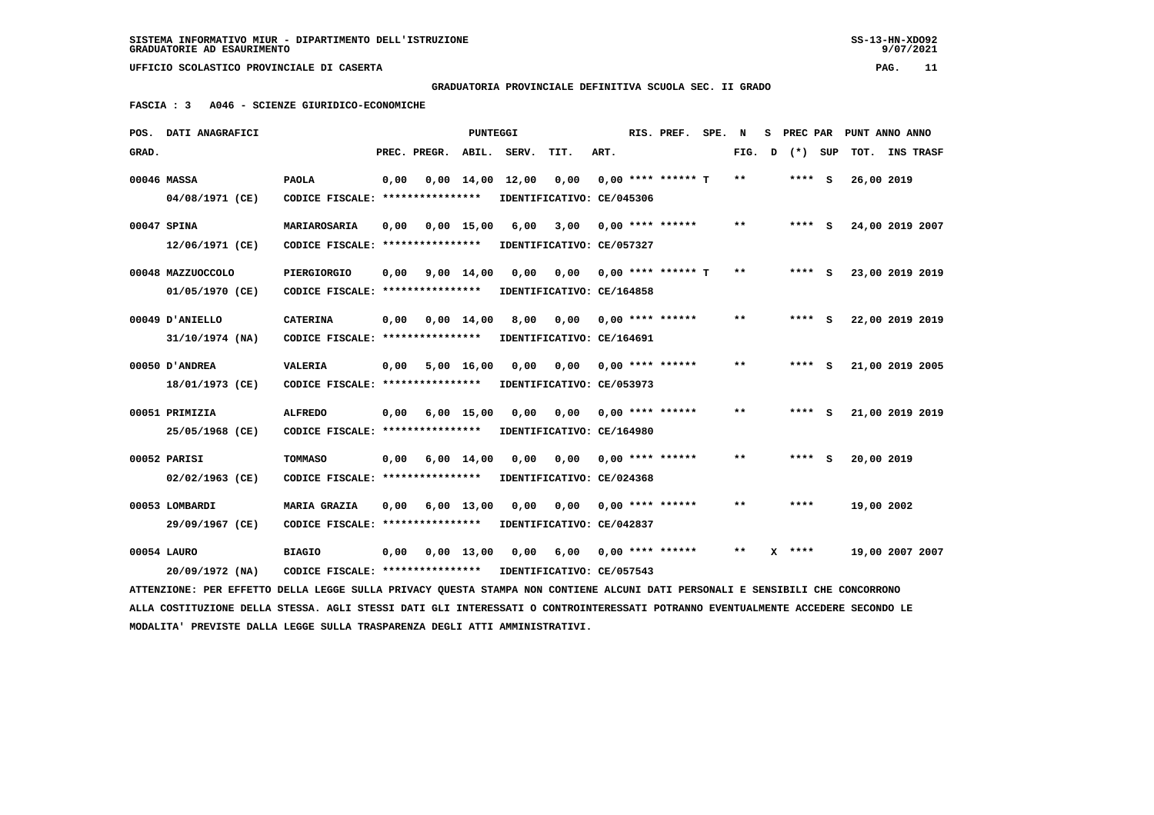### **GRADUATORIA PROVINCIALE DEFINITIVA SCUOLA SEC. II GRADO**

 **FASCIA : 3 A046 - SCIENZE GIURIDICO-ECONOMICHE**

| POS.  | DATI ANAGRAFICI                                                                                                                 |                                                            |      |                         | <b>PUNTEGGI</b>    |                                |                           |      | RIS. PREF.           | SPE. N |              |   |         | S PREC PAR PUNT ANNO ANNO |  |
|-------|---------------------------------------------------------------------------------------------------------------------------------|------------------------------------------------------------|------|-------------------------|--------------------|--------------------------------|---------------------------|------|----------------------|--------|--------------|---|---------|---------------------------|--|
| GRAD. |                                                                                                                                 |                                                            |      | PREC. PREGR. ABIL.      |                    | SERV.                          | TIT.                      | ART. |                      |        | FIG. D       |   | (*) SUP | TOT. INS TRASF            |  |
|       | 00046 MASSA                                                                                                                     | <b>PAOLA</b>                                               | 0.00 |                         |                    | $0.00 \quad 14.00 \quad 12.00$ | 0,00                      |      | $0.00$ **** ****** T |        | $\star\star$ |   | **** S  | 26,00 2019                |  |
|       | 04/08/1971 (CE)                                                                                                                 | CODICE FISCALE: ****************                           |      |                         |                    |                                | IDENTIFICATIVO: CE/045306 |      |                      |        |              |   |         |                           |  |
|       |                                                                                                                                 |                                                            |      |                         |                    |                                |                           |      |                      |        |              |   |         |                           |  |
|       | 00047 SPINA                                                                                                                     | MARIAROSARIA                                               | 0,00 |                         | $0,00 \quad 15,00$ | 6,00                           | 3,00                      |      | $0.00$ **** ******   |        | $* *$        |   | **** S  | 24,00 2019 2007           |  |
|       | 12/06/1971 (CE)                                                                                                                 | CODICE FISCALE: ****************                           |      |                         |                    |                                | IDENTIFICATIVO: CE/057327 |      |                      |        |              |   |         |                           |  |
|       | 00048 MAZZUOCCOLO                                                                                                               | PIERGIORGIO                                                | 0.00 |                         | $9,00 \quad 14,00$ | 0,00                           | 0,00                      |      | $0.00$ **** ****** T |        | **           |   | $***$ S | 23,00 2019 2019           |  |
|       |                                                                                                                                 |                                                            |      |                         |                    |                                |                           |      |                      |        |              |   |         |                           |  |
|       | 01/05/1970 (CE)                                                                                                                 | CODICE FISCALE: *****************                          |      |                         |                    |                                | IDENTIFICATIVO: CE/164858 |      |                      |        |              |   |         |                           |  |
|       | 00049 D'ANIELLO                                                                                                                 | <b>CATERINA</b>                                            | 0,00 |                         | $0,00 \quad 14,00$ | 8,00                           | 0,00                      |      | 0,00 **** ******     |        | $* *$        |   | $***$ S | 22,00 2019 2019           |  |
|       | 31/10/1974 (NA)                                                                                                                 | CODICE FISCALE: ****************                           |      |                         |                    |                                | IDENTIFICATIVO: CE/164691 |      |                      |        |              |   |         |                           |  |
|       |                                                                                                                                 |                                                            |      |                         |                    |                                |                           |      |                      |        |              |   |         |                           |  |
|       | 00050 D'ANDREA                                                                                                                  | <b>VALERIA</b>                                             | 0,00 |                         | 5,00 16,00         | 0,00                           | 0,00                      |      | $0.00$ **** ******   |        | $* *$        |   | **** S  | 21,00 2019 2005           |  |
|       | 18/01/1973 (CE)                                                                                                                 | CODICE FISCALE: ****************                           |      |                         |                    |                                | IDENTIFICATIVO: CE/053973 |      |                      |        |              |   |         |                           |  |
|       | 00051 PRIMIZIA                                                                                                                  | <b>ALFREDO</b>                                             | 0,00 |                         | $6,00$ 15,00       | 0,00                           | 0,00                      |      | $0.00$ **** ******   |        | $***$        |   | **** S  | 21,00 2019 2019           |  |
|       | 25/05/1968 (CE)                                                                                                                 | CODICE FISCALE: ****************                           |      |                         |                    |                                | IDENTIFICATIVO: CE/164980 |      |                      |        |              |   |         |                           |  |
|       |                                                                                                                                 |                                                            |      |                         |                    |                                |                           |      |                      |        |              |   |         |                           |  |
|       | 00052 PARISI                                                                                                                    | TOMMASO                                                    | 0.00 |                         | $6,00 \quad 14,00$ | 0.00                           | 0.00                      |      | $0.00$ **** ******   |        | $***$        |   | $***$ S | 20,00 2019                |  |
|       | 02/02/1963 (CE)                                                                                                                 | CODICE FISCALE: *****************                          |      |                         |                    |                                | IDENTIFICATIVO: CE/024368 |      |                      |        |              |   |         |                           |  |
|       | 00053 LOMBARDI                                                                                                                  | MARIA GRAZIA                                               | 0.00 |                         | $6,00$ 13,00       | 0.00                           | 0.00                      |      | $0.00$ **** ******   |        |              |   | ****    | 19,00 2002                |  |
|       | 29/09/1967 (CE)                                                                                                                 | CODICE FISCALE: ****************                           |      |                         |                    |                                | IDENTIFICATIVO: CE/042837 |      |                      |        |              |   |         |                           |  |
|       |                                                                                                                                 |                                                            |      |                         |                    |                                |                           |      |                      |        |              |   |         |                           |  |
|       | 00054 LAURO                                                                                                                     | <b>BIAGIO</b>                                              |      | $0.00 \t 0.00 \t 13.00$ |                    | 0,00                           | 6,00                      |      | $0.00$ **** ******   |        | $***$        | x | ****    | 19,00 2007 2007           |  |
|       | 20/09/1972 (NA)                                                                                                                 | CODICE FISCALE: **************** IDENTIFICATIVO: CE/057543 |      |                         |                    |                                |                           |      |                      |        |              |   |         |                           |  |
|       | ATTENZIONE: PER EFFETTO DELLA LEGGE SULLA PRIVACY QUESTA STAMPA NON CONTIENE ALCUNI DATI PERSONALI E SENSIBILI CHE CONCORRONO   |                                                            |      |                         |                    |                                |                           |      |                      |        |              |   |         |                           |  |
|       | ALLA COSTITUZIONE DELLA STESSA. AGLI STESSI DATI GLI INTERESSATI O CONTROINTERESSATI POTRANNO EVENTUALMENTE ACCEDERE SECONDO LE |                                                            |      |                         |                    |                                |                           |      |                      |        |              |   |         |                           |  |
|       | MODALITA' PREVISTE DALLA LEGGE SULLA TRASPARENZA DEGLI ATTI AMMINISTRATIVI.                                                     |                                                            |      |                         |                    |                                |                           |      |                      |        |              |   |         |                           |  |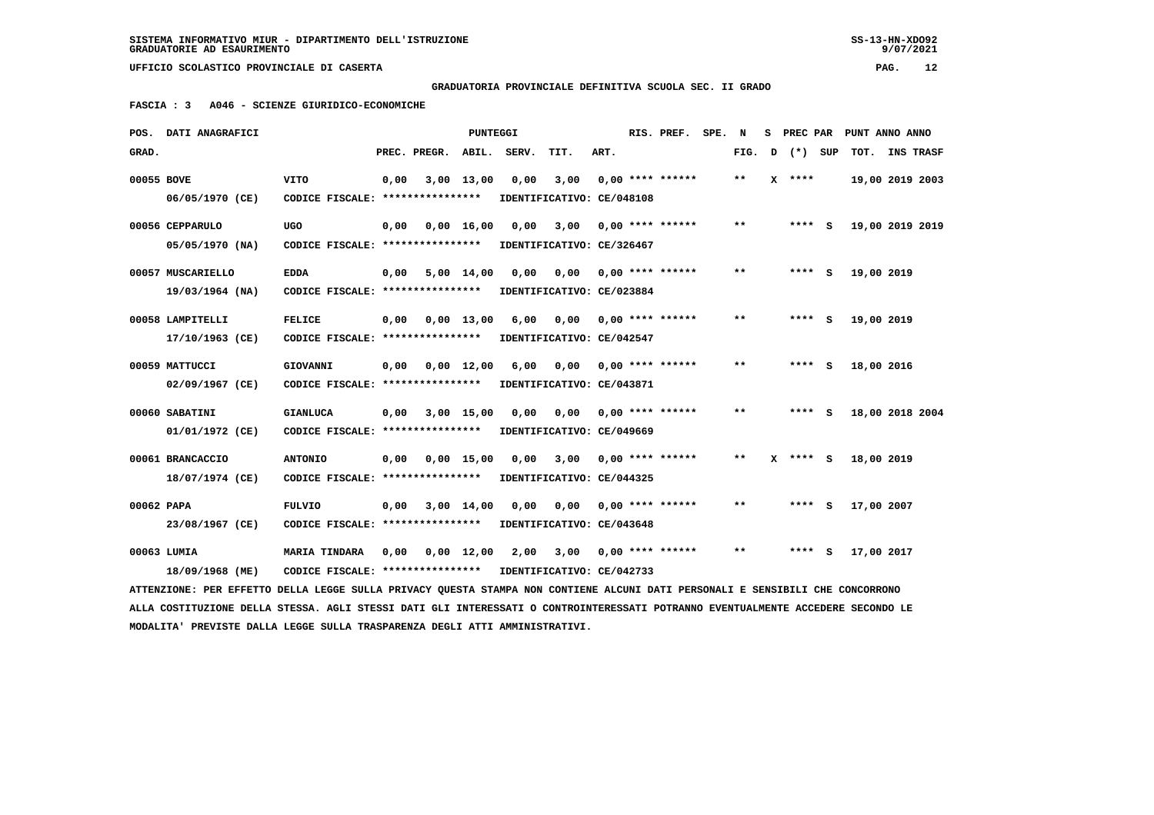#### **GRADUATORIA PROVINCIALE DEFINITIVA SCUOLA SEC. II GRADO**

 **FASCIA : 3 A046 - SCIENZE GIURIDICO-ECONOMICHE**

|            | POS. DATI ANAGRAFICI                                                                                                            |                                                            |      |                          | <b>PUNTEGGI</b> |                                                  |                           |      | RIS. PREF.                | SPE. N |              |            | S PREC PAR PUNT ANNO ANNO |           |
|------------|---------------------------------------------------------------------------------------------------------------------------------|------------------------------------------------------------|------|--------------------------|-----------------|--------------------------------------------------|---------------------------|------|---------------------------|--------|--------------|------------|---------------------------|-----------|
| GRAD.      |                                                                                                                                 |                                                            |      | PREC. PREGR. ABIL. SERV. |                 |                                                  | TIT.                      | ART. |                           |        | FIG. D       | (*) SUP    | TOT.                      | INS TRASF |
| 00055 BOVE |                                                                                                                                 | <b>VITO</b>                                                | 0,00 |                          | $3,00$ 13,00    | 0,00                                             | 3,00                      |      | $0,00$ **** ******        |        | $* *$        | $X$ ****   | 19,00 2019 2003           |           |
|            | 06/05/1970 (CE)                                                                                                                 | CODICE FISCALE: *****************                          |      |                          |                 |                                                  | IDENTIFICATIVO: CE/048108 |      |                           |        |              |            |                           |           |
|            | 00056 CEPPARULO                                                                                                                 | UGO                                                        | 0,00 |                          | $0,00$ 16,00    | 0,00                                             | 3,00                      |      | 0,00 **** ******          |        | $* *$        | $***$ S    | 19,00 2019 2019           |           |
|            | 05/05/1970 (NA)                                                                                                                 | CODICE FISCALE: *****************                          |      |                          |                 |                                                  | IDENTIFICATIVO: CE/326467 |      |                           |        |              |            |                           |           |
|            | 00057 MUSCARIELLO                                                                                                               | <b>EDDA</b>                                                | 0,00 |                          | 5,00 14,00      | 0,00                                             | 0,00 0,00 **** ******     |      |                           |        | $* *$        | $***$ S    | 19,00 2019                |           |
|            | $19/03/1964$ (NA)                                                                                                               | CODICE FISCALE: ****************                           |      |                          |                 |                                                  | IDENTIFICATIVO: CE/023884 |      |                           |        |              |            |                           |           |
|            | 00058 LAMPITELLI                                                                                                                | <b>FELICE</b>                                              | 0,00 |                          | $0,00$ 13,00    | 6,00                                             | 0,00                      |      | $0,00$ **** ******        |        | $\star\star$ | $***$ S    | 19,00 2019                |           |
|            | 17/10/1963 (CE)                                                                                                                 | CODICE FISCALE: *****************                          |      |                          |                 |                                                  | IDENTIFICATIVO: CE/042547 |      |                           |        |              |            |                           |           |
|            | 00059 MATTUCCI                                                                                                                  | GIOVANNI                                                   | 0,00 | 0,00 12,00               |                 | 6,00                                             |                           |      | $0,00$ $0,00$ **** ****** |        | $* *$        | $***$ S    | 18,00 2016                |           |
|            | 02/09/1967 (CE)                                                                                                                 | CODICE FISCALE: *****************                          |      |                          |                 |                                                  | IDENTIFICATIVO: CE/043871 |      |                           |        |              |            |                           |           |
|            | 00060 SABATINI                                                                                                                  | <b>GIANLUCA</b>                                            | 0,00 |                          | $3,00$ 15,00    | 0,00                                             |                           |      | 0,00 0,00 **** ******     |        | $* *$        | **** S     | 18,00 2018 2004           |           |
|            | 01/01/1972 (CE)                                                                                                                 | CODICE FISCALE: ****************                           |      |                          |                 |                                                  | IDENTIFICATIVO: CE/049669 |      |                           |        |              |            |                           |           |
|            | 00061 BRANCACCIO                                                                                                                | <b>ANTONIO</b>                                             | 0,00 |                          | $0,00$ 15,00    | 0,00                                             |                           |      | $3,00$ 0,00 **** ******   |        | $**$         | $X$ **** S | 18,00 2019                |           |
|            | 18/07/1974 (CE)                                                                                                                 | CODICE FISCALE: ****************                           |      |                          |                 |                                                  | IDENTIFICATIVO: CE/044325 |      |                           |        |              |            |                           |           |
| 00062 PAPA |                                                                                                                                 | <b>FULVIO</b>                                              | 0,00 |                          | $3,00$ 14,00    | 0,00                                             | 0,00                      |      | $0.00$ **** ******        |        | $* *$        | $***$ S    | 17,00 2007                |           |
|            | 23/08/1967 (CE)                                                                                                                 | CODICE FISCALE: ****************                           |      |                          |                 |                                                  | IDENTIFICATIVO: CE/043648 |      |                           |        |              |            |                           |           |
|            | 00063 LUMIA                                                                                                                     | <b>MARIA TINDARA</b>                                       |      |                          |                 | $0,00$ $0,00$ $12,00$ $2,00$ $3,00$ $0,00$ $***$ |                           |      |                           |        | $* *$        | $***$ S    | 17,00 2017                |           |
|            | 18/09/1968 (ME)                                                                                                                 | CODICE FISCALE: **************** IDENTIFICATIVO: CE/042733 |      |                          |                 |                                                  |                           |      |                           |        |              |            |                           |           |
|            | ATTENZIONE: PER EFFETTO DELLA LEGGE SULLA PRIVACY QUESTA STAMPA NON CONTIENE ALCUNI DATI PERSONALI E SENSIBILI CHE CONCORRONO   |                                                            |      |                          |                 |                                                  |                           |      |                           |        |              |            |                           |           |
|            | ALLA COSTITUZIONE DELLA STESSA. AGLI STESSI DATI GLI INTERESSATI O CONTROINTERESSATI POTRANNO EVENTUALMENTE ACCEDERE SECONDO LE |                                                            |      |                          |                 |                                                  |                           |      |                           |        |              |            |                           |           |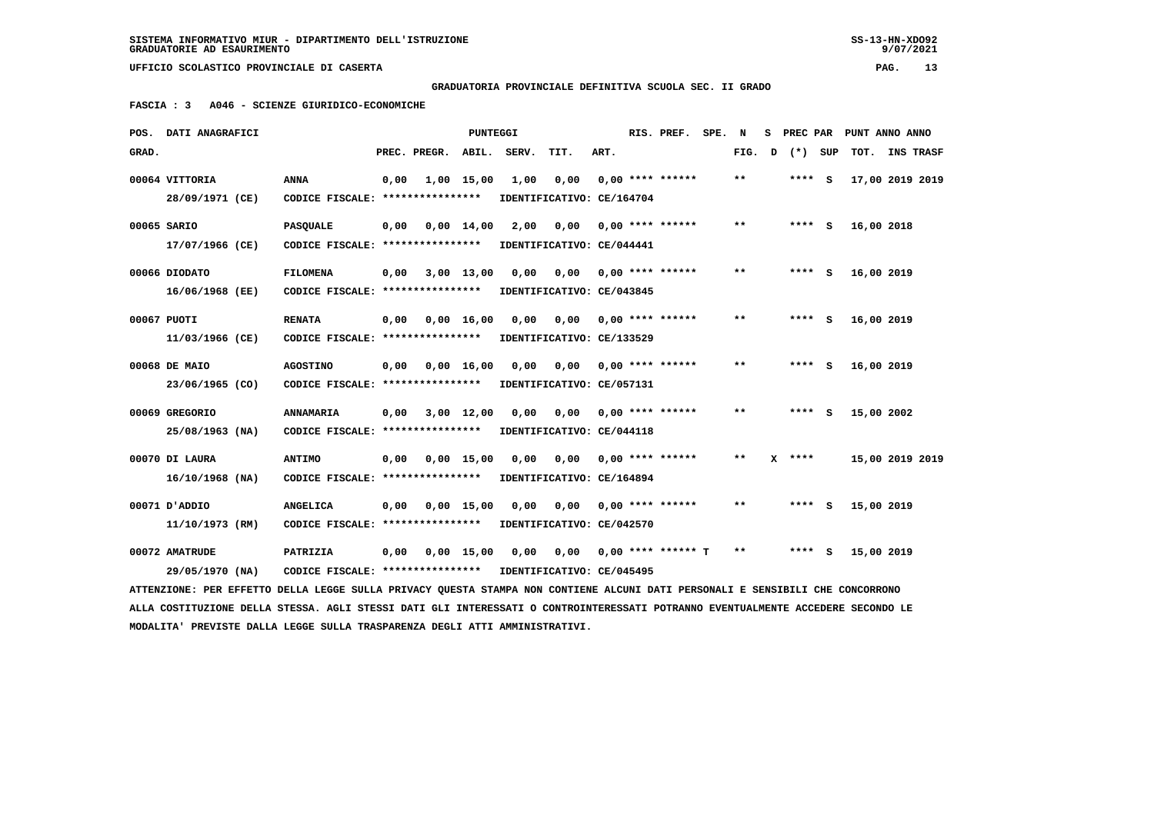$9/07/2021$ 

 **UFFICIO SCOLASTICO PROVINCIALE DI CASERTA PAG. 13**

 **GRADUATORIA PROVINCIALE DEFINITIVA SCUOLA SEC. II GRADO**

 **FASCIA : 3 A046 - SCIENZE GIURIDICO-ECONOMICHE**

|       | POS. DATI ANAGRAFICI                                                                                                            |                                   |      |              | <b>PUNTEGGI</b> |       |                           |      | RIS. PREF.           | SPE. | N     | s |          |     | PREC PAR PUNT ANNO ANNO |                  |  |
|-------|---------------------------------------------------------------------------------------------------------------------------------|-----------------------------------|------|--------------|-----------------|-------|---------------------------|------|----------------------|------|-------|---|----------|-----|-------------------------|------------------|--|
| GRAD. |                                                                                                                                 |                                   |      | PREC. PREGR. | ABIL.           | SERV. | TIT.                      | ART. |                      |      | FIG.  | D | $(*)$    | SUP | тот.                    | <b>INS TRASF</b> |  |
|       | 00064 VITTORIA                                                                                                                  | <b>ANNA</b>                       | 0,00 |              | 1,00 15,00      | 1,00  | 0,00                      |      | $0,00$ **** ******   |      | $***$ |   | $***$ S  |     | 17,00 2019 2019         |                  |  |
|       | 28/09/1971 (CE)                                                                                                                 | CODICE FISCALE: ****************  |      |              |                 |       | IDENTIFICATIVO: CE/164704 |      |                      |      |       |   |          |     |                         |                  |  |
|       | 00065 SARIO                                                                                                                     | <b>PASQUALE</b>                   | 0,00 |              | $0.00$ 14.00    | 2,00  | 0.00                      |      | $0.00$ **** ******   |      | $* *$ |   | $***$ S  |     | 16,00 2018              |                  |  |
|       | 17/07/1966 (CE)                                                                                                                 | CODICE FISCALE: ****************  |      |              |                 |       | IDENTIFICATIVO: CE/044441 |      |                      |      |       |   |          |     |                         |                  |  |
|       | 00066 DIODATO                                                                                                                   | <b>FILOMENA</b>                   | 0,00 |              | 3,00 13,00      | 0,00  | 0,00                      |      | 0,00 **** ******     |      | $**$  |   | $***$ S  |     | 16,00 2019              |                  |  |
|       | 16/06/1968 (EE)                                                                                                                 | CODICE FISCALE: ****************  |      |              |                 |       | IDENTIFICATIVO: CE/043845 |      |                      |      |       |   |          |     |                         |                  |  |
|       | 00067 PUOTI                                                                                                                     | <b>RENATA</b>                     | 0,00 |              | 0.00 16.00      | 0.00  | 0,00                      |      | $0.00$ **** ******   |      | $**$  |   | **** S   |     | 16,00 2019              |                  |  |
|       | 11/03/1966 (CE)                                                                                                                 | CODICE FISCALE: ****************  |      |              |                 |       | IDENTIFICATIVO: CE/133529 |      |                      |      |       |   |          |     |                         |                  |  |
|       | 00068 DE MAIO                                                                                                                   | <b>AGOSTINO</b>                   | 0,00 |              | 0.00 16.00      | 0,00  | 0,00                      |      | $0.00$ **** ******   |      | **    |   | **** S   |     | 16,00 2019              |                  |  |
|       | 23/06/1965 (CO)                                                                                                                 | CODICE FISCALE: ****************  |      |              |                 |       | IDENTIFICATIVO: CE/057131 |      |                      |      |       |   |          |     |                         |                  |  |
|       | 00069 GREGORIO                                                                                                                  | <b>ANNAMARIA</b>                  | 0,00 |              | $3,00$ 12,00    | 0,00  | 0,00                      |      | $0,00$ **** ******   |      | $***$ |   | **** S   |     | 15,00 2002              |                  |  |
|       | 25/08/1963 (NA)                                                                                                                 | CODICE FISCALE: ****************  |      |              |                 |       | IDENTIFICATIVO: CE/044118 |      |                      |      |       |   |          |     |                         |                  |  |
|       | 00070 DI LAURA                                                                                                                  | <b>ANTIMO</b>                     | 0,00 |              | $0,00$ 15,00    | 0.00  | 0.00                      |      | $0,00$ **** ******   |      | **    |   | $X$ **** |     | 15,00 2019 2019         |                  |  |
|       | $16/10/1968$ (NA)                                                                                                               | CODICE FISCALE: ****************  |      |              |                 |       | IDENTIFICATIVO: CE/164894 |      |                      |      |       |   |          |     |                         |                  |  |
|       | 00071 D'ADDIO                                                                                                                   | <b>ANGELICA</b>                   | 0,00 |              | $0,00$ 15,00    | 0,00  | 0.00                      |      | $0.00$ **** ******   |      | **    |   | **** S   |     | 15,00 2019              |                  |  |
|       | 11/10/1973 (RM)                                                                                                                 | CODICE FISCALE: ****************  |      |              |                 |       | IDENTIFICATIVO: CE/042570 |      |                      |      |       |   |          |     |                         |                  |  |
|       | 00072 AMATRUDE                                                                                                                  | PATRIZIA                          | 0,00 |              | $0,00$ 15,00    | 0,00  | 0.00                      |      | $0,00$ **** ****** T |      | $* *$ |   | **** S   |     | 15,00 2019              |                  |  |
|       | 29/05/1970 (NA)                                                                                                                 | CODICE FISCALE: ***************** |      |              |                 |       | IDENTIFICATIVO: CE/045495 |      |                      |      |       |   |          |     |                         |                  |  |
|       | ATTENZIONE: PER EFFETTO DELLA LEGGE SULLA PRIVACY QUESTA STAMPA NON CONTIENE ALCUNI DATI PERSONALI E SENSIBILI CHE CONCORRONO   |                                   |      |              |                 |       |                           |      |                      |      |       |   |          |     |                         |                  |  |
|       | ALLA COSTITUZIONE DELLA STESSA. AGLI STESSI DATI GLI INTERESSATI O CONTROINTERESSATI POTRANNO EVENTUALMENTE ACCEDERE SECONDO LE |                                   |      |              |                 |       |                           |      |                      |      |       |   |          |     |                         |                  |  |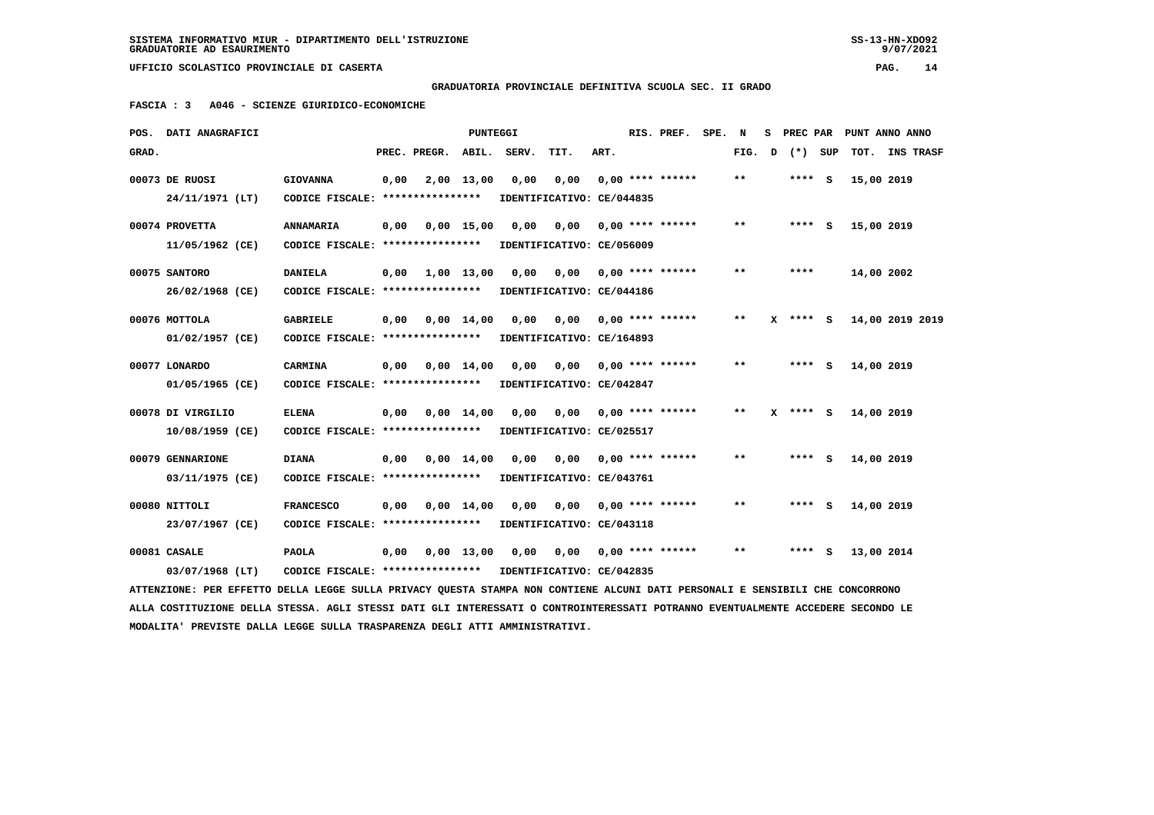**GRADUATORIA PROVINCIALE DEFINITIVA SCUOLA SEC. II GRADO**

 **FASCIA : 3 A046 - SCIENZE GIURIDICO-ECONOMICHE**

| POS.  | DATI ANAGRAFICI                                                                                                                                  |                                                      |      |              | <b>PUNTEGGI</b>    |                                   |                                   |      | RIS. PREF.                | SPE. | N                          | s | PREC PAR |     | PUNT ANNO ANNO  |                  |
|-------|--------------------------------------------------------------------------------------------------------------------------------------------------|------------------------------------------------------|------|--------------|--------------------|-----------------------------------|-----------------------------------|------|---------------------------|------|----------------------------|---|----------|-----|-----------------|------------------|
| GRAD. |                                                                                                                                                  |                                                      |      | PREC. PREGR. |                    | ABIL. SERV.                       | TIT.                              | ART. |                           |      | FIG.                       | D | $(*)$    | SUP | тот.            | <b>INS TRASF</b> |
|       | 00073 DE RUOSI<br>24/11/1971 (LT)                                                                                                                | <b>GIOVANNA</b><br>CODICE FISCALE: ****************  | 0,00 |              | 2,00 13,00         | 0,00<br>IDENTIFICATIVO: CE/044835 | 0,00                              |      | $0.00$ **** ******        |      | $* *$                      |   | **** S   |     | 15,00 2019      |                  |
|       | 00074 PROVETTA<br>11/05/1962 (CE)                                                                                                                | <b>ANNAMARIA</b><br>CODICE FISCALE: **************** | 0,00 |              | 0.00 15.00         | 0,00<br>IDENTIFICATIVO: CE/056009 | 0,00                              |      | $0.00$ **** ******        |      | $\star\star$               |   | **** S   |     | 15,00 2019      |                  |
|       | 00075 SANTORO<br>26/02/1968 (CE)                                                                                                                 | <b>DANIELA</b><br>CODICE FISCALE: *****************  | 0,00 | 1,00 13,00   |                    | 0,00<br>IDENTIFICATIVO: CE/044186 |                                   |      | $0,00$ $0,00$ **** ****** |      | **                         |   | ****     |     | 14,00 2002      |                  |
|       | 00076 MOTTOLA<br>01/02/1957 (CE)                                                                                                                 | <b>GABRIELE</b><br>CODICE FISCALE: ****************  | 0,00 |              | $0,00 \quad 14,00$ | 0,00<br>IDENTIFICATIVO: CE/164893 | 0,00                              |      | 0,00 **** ******          |      | **                         |   | X **** S |     | 14,00 2019 2019 |                  |
|       | 00077 LONARDO<br>01/05/1965 (CE)                                                                                                                 | <b>CARMINA</b><br>CODICE FISCALE: ****************   | 0,00 |              | $0,00 \quad 14,00$ | 0,00<br>IDENTIFICATIVO: CE/042847 | 0,00                              |      | 0,00 **** ******          |      | $* *$                      |   | **** S   |     | 14,00 2019      |                  |
|       | 00078 DI VIRGILIO                                                                                                                                | <b>ELENA</b>                                         | 0,00 |              | $0,00 \quad 14,00$ | 0.00                              |                                   |      | $0,00$ $0,00$ **** ****** |      | $\pmb{\times}\pmb{\times}$ |   | X **** S |     | 14,00 2019      |                  |
|       | $10/08/1959$ (CE)<br>00079 GENNARIONE                                                                                                            | CODICE FISCALE: ****************<br><b>DIANA</b>     | 0,00 |              | $0,00 \quad 14,00$ | IDENTIFICATIVO: CE/025517<br>0,00 | 0,00                              |      | $0,00$ **** ******        |      | $***$                      |   | **** S   |     | 14,00 2019      |                  |
|       | 03/11/1975 (CE)<br>00080 NITTOLI                                                                                                                 | CODICE FISCALE: ****************<br><b>FRANCESCO</b> | 0,00 |              | $0.00 \quad 14.00$ | 0.00                              | IDENTIFICATIVO: CE/043761<br>0,00 |      | $0.00$ **** ******        |      | $* *$                      |   | **** S   |     | 14,00 2019      |                  |
|       | 23/07/1967 (CE)<br>00081 CASALE                                                                                                                  | CODICE FISCALE: ****************<br><b>PAOLA</b>     | 0,00 |              | $0,00$ 13,00       | IDENTIFICATIVO: CE/043118<br>0,00 | 0,00 0,00 **** ******             |      |                           |      | $* *$                      |   | **** S   |     | 13,00 2014      |                  |
|       | 03/07/1968 (LT)<br>ATTENZIONE: PER EFFETTO DELLA LEGGE SULLA PRIVACY QUESTA STAMPA NON CONTIENE ALCUNI DATI PERSONALI E SENSIBILI CHE CONCORRONO | CODICE FISCALE: ****************                     |      |              |                    | IDENTIFICATIVO: CE/042835         |                                   |      |                           |      |                            |   |          |     |                 |                  |

 **ALLA COSTITUZIONE DELLA STESSA. AGLI STESSI DATI GLI INTERESSATI O CONTROINTERESSATI POTRANNO EVENTUALMENTE ACCEDERE SECONDO LE MODALITA' PREVISTE DALLA LEGGE SULLA TRASPARENZA DEGLI ATTI AMMINISTRATIVI.**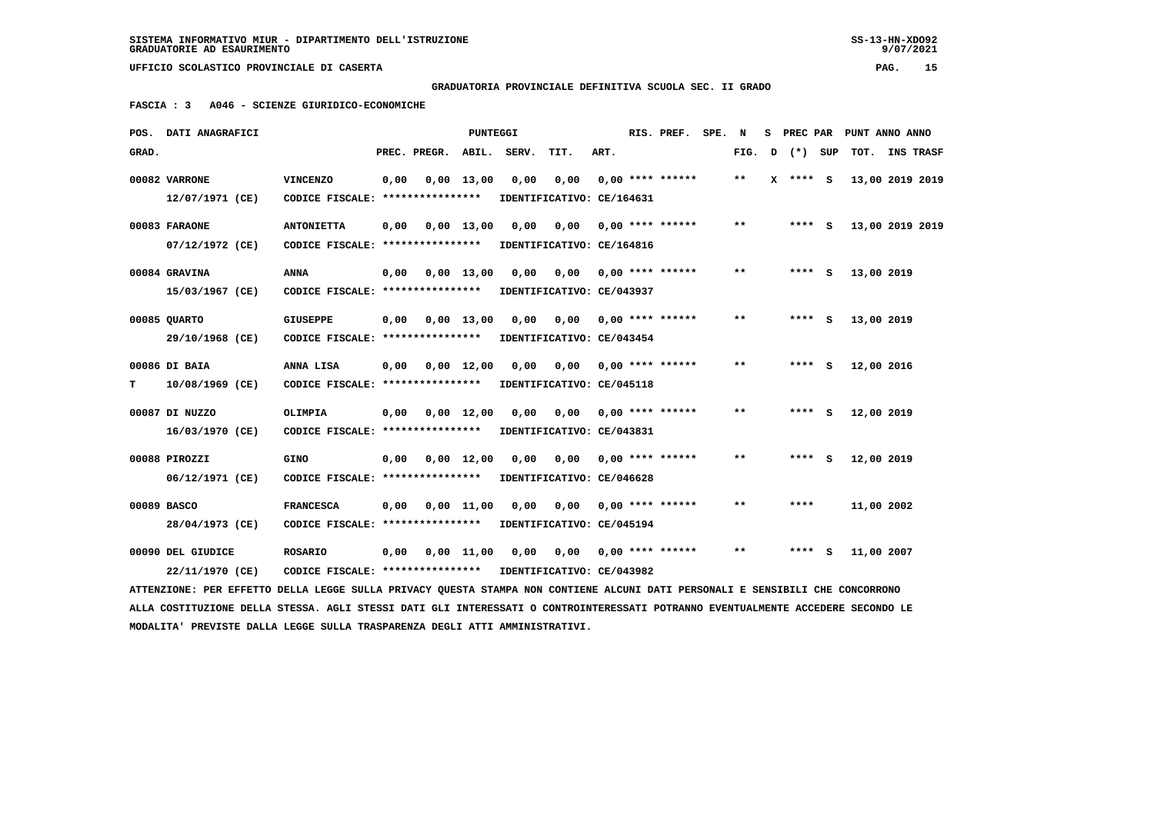## **GRADUATORIA PROVINCIALE DEFINITIVA SCUOLA SEC. II GRADO**

 **FASCIA : 3 A046 - SCIENZE GIURIDICO-ECONOMICHE**

|       | POS. DATI ANAGRAFICI                                                                                                          |                                   |      |              | PUNTEGGI           |                           |                           |      | RIS. PREF. SPE.           | N                          |   |            | S PREC PAR PUNT ANNO ANNO |  |
|-------|-------------------------------------------------------------------------------------------------------------------------------|-----------------------------------|------|--------------|--------------------|---------------------------|---------------------------|------|---------------------------|----------------------------|---|------------|---------------------------|--|
| GRAD. |                                                                                                                               |                                   |      | PREC. PREGR. | ABIL.              | SERV.                     | TIT.                      | ART. |                           | FIG.                       | D | (*) SUP    | TOT. INS TRASF            |  |
|       | 00082 VARRONE                                                                                                                 | <b>VINCENZO</b>                   | 0,00 |              | $0,00$ 13,00       | 0,00                      | 0,00                      |      | $0.00$ **** ******        | $* *$                      |   | $X$ **** S | 13,00 2019 2019           |  |
|       | 12/07/1971 (CE)                                                                                                               | CODICE FISCALE: ***************** |      |              |                    |                           | IDENTIFICATIVO: CE/164631 |      |                           |                            |   |            |                           |  |
|       | 00083 FARAONE                                                                                                                 | <b>ANTONIETTA</b>                 | 0,00 |              | $0,00$ 13,00       | 0,00                      | 0,00                      |      | $0.00$ **** ******        | $***$                      |   | **** S     | 13,00 2019 2019           |  |
|       | 07/12/1972 (CE)                                                                                                               | CODICE FISCALE: ****************  |      |              |                    |                           | IDENTIFICATIVO: CE/164816 |      |                           |                            |   |            |                           |  |
|       | 00084 GRAVINA                                                                                                                 | ANNA                              | 0,00 |              | $0,00$ 13,00       | 0,00                      | 0,00                      |      | $0.00$ **** ******        | **                         |   | **** S     | 13,00 2019                |  |
|       | 15/03/1967 (CE)                                                                                                               | CODICE FISCALE: ***************** |      |              |                    |                           | IDENTIFICATIVO: CE/043937 |      |                           |                            |   |            |                           |  |
|       | 00085 QUARTO                                                                                                                  | <b>GIUSEPPE</b>                   | 0,00 |              | $0,00$ 13,00       | 0,00                      | 0,00                      |      | $0.00$ **** ******        | $* *$                      |   | **** S     | 13,00 2019                |  |
|       | 29/10/1968 (CE)                                                                                                               | CODICE FISCALE: ****************  |      |              |                    |                           | IDENTIFICATIVO: CE/043454 |      |                           |                            |   |            |                           |  |
|       | 00086 DI BAIA                                                                                                                 | ANNA LISA                         | 0,00 |              | $0.00 \quad 12.00$ | 0.00                      | 0.00                      |      | $0,00$ **** ******        | $\pmb{\times}\pmb{\times}$ |   | **** S     | 12,00 2016                |  |
| т     | 10/08/1969 (CE)                                                                                                               | CODICE FISCALE: ****************  |      |              |                    |                           | IDENTIFICATIVO: CE/045118 |      |                           |                            |   |            |                           |  |
|       | 00087 DI NUZZO                                                                                                                | OLIMPIA                           | 0,00 |              | $0,00$ 12,00       | 0,00                      |                           |      | $0,00$ $0,00$ **** ****** | $**$                       |   | **** S     | 12,00 2019                |  |
|       | 16/03/1970 (CE)                                                                                                               | CODICE FISCALE: ***************** |      |              |                    |                           | IDENTIFICATIVO: CE/043831 |      |                           |                            |   |            |                           |  |
|       | 00088 PIROZZI                                                                                                                 | <b>GINO</b>                       | 0,00 |              | $0,00 \quad 12,00$ | 0,00                      | 0,00                      |      | $0.00$ **** ******        | $* *$                      |   | **** S     | 12,00 2019                |  |
|       | 06/12/1971 (CE)                                                                                                               | CODICE FISCALE: ****************  |      |              |                    |                           | IDENTIFICATIVO: CE/046628 |      |                           |                            |   |            |                           |  |
|       | 00089 BASCO                                                                                                                   | <b>FRANCESCA</b>                  | 0,00 |              | $0.00$ 11.00       | 0.00                      | 0.00                      |      | $0,00$ **** ******        | $***$                      |   | ****       | 11,00 2002                |  |
|       | 28/04/1973 (CE)                                                                                                               | CODICE FISCALE: ****************  |      |              |                    |                           | IDENTIFICATIVO: CE/045194 |      |                           |                            |   |            |                           |  |
|       | 00090 DEL GIUDICE                                                                                                             | <b>ROSARIO</b>                    | 0,00 |              | $0.00$ 11.00       | 0,00                      | 0,00 0,00 **** ******     |      |                           | $**$                       |   | **** S     | 11,00 2007                |  |
|       | 22/11/1970 (CE)                                                                                                               | CODICE FISCALE: ***************** |      |              |                    | IDENTIFICATIVO: CE/043982 |                           |      |                           |                            |   |            |                           |  |
|       | ATTENZIONE: PER EFFETTO DELLA LEGGE SULLA PRIVACY QUESTA STAMPA NON CONTIENE ALCUNI DATI PERSONALI E SENSIBILI CHE CONCORRONO |                                   |      |              |                    |                           |                           |      |                           |                            |   |            |                           |  |

 **ALLA COSTITUZIONE DELLA STESSA. AGLI STESSI DATI GLI INTERESSATI O CONTROINTERESSATI POTRANNO EVENTUALMENTE ACCEDERE SECONDO LE MODALITA' PREVISTE DALLA LEGGE SULLA TRASPARENZA DEGLI ATTI AMMINISTRATIVI.**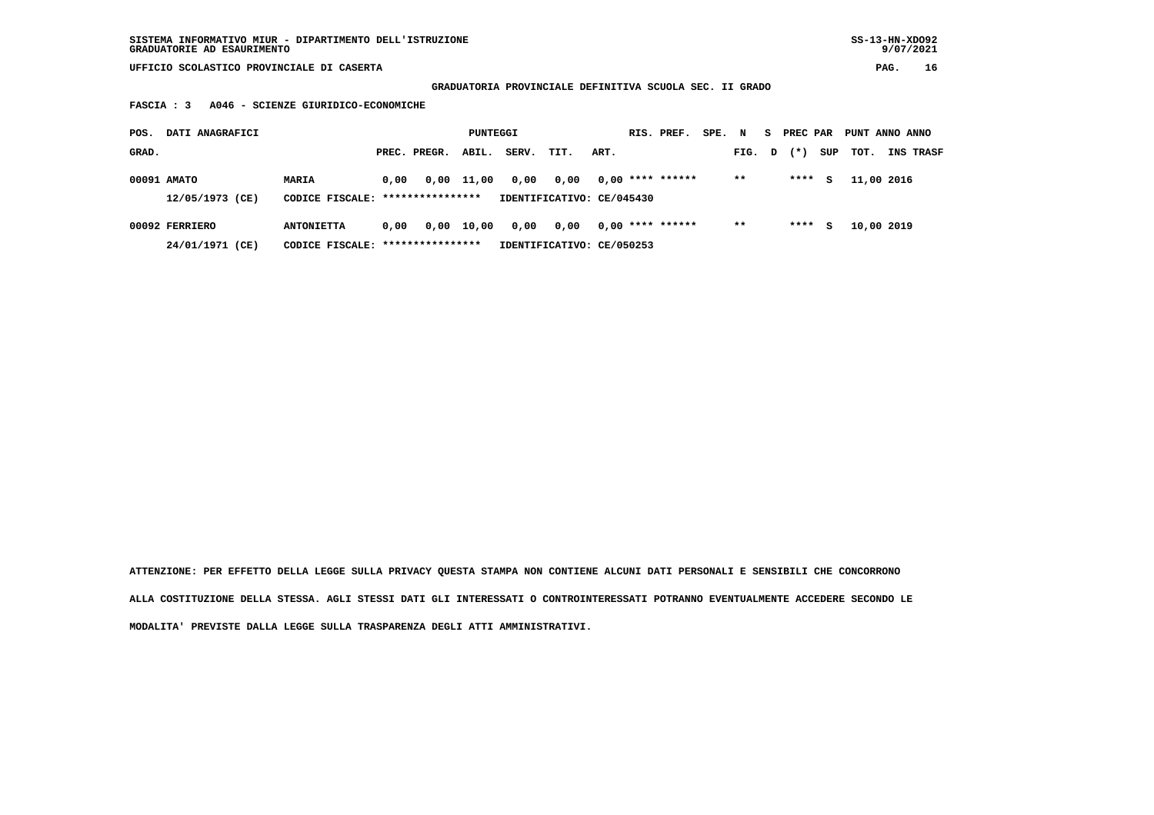**GRADUATORIA PROVINCIALE DEFINITIVA SCUOLA SEC. II GRADO**

 **FASCIA : 3 A046 - SCIENZE GIURIDICO-ECONOMICHE**

| POS.  | DATI ANAGRAFICI |                                   |      |                  | PUNTEGGI |       |                           |      | RIS. PREF.         | SPE. | N     | s. | PREC PAR |     | PUNT ANNO ANNO |                  |
|-------|-----------------|-----------------------------------|------|------------------|----------|-------|---------------------------|------|--------------------|------|-------|----|----------|-----|----------------|------------------|
| GRAD. |                 |                                   |      | PREC. PREGR.     | ABIL.    | SERV. | TIT.                      | ART. |                    |      | FIG.  | D  | $(* )$   | SUP | тот.           | <b>INS TRASF</b> |
|       | 00091 AMATO     | MARIA                             | 0.00 | 0,00             | 11,00    | 0,00  | 0.00                      |      | $0,00$ **** ****** |      | $* *$ |    | ****     | s   | 11,00 2016     |                  |
|       | 12/05/1973 (CE) | CODICE FISCALE:                   |      | **************** |          |       | IDENTIFICATIVO: CE/045430 |      |                    |      |       |    |          |     |                |                  |
|       | 00092 FERRIERO  | <b>ANTONIETTA</b>                 | 0.00 | 0,00             | 10,00    | 0,00  | 0,00                      |      | $0,00$ **** ****** |      | $***$ |    | ****     | s   | 10,00 2019     |                  |
|       | 24/01/1971 (CE) | CODICE FISCALE: ***************** |      |                  |          |       | IDENTIFICATIVO: CE/050253 |      |                    |      |       |    |          |     |                |                  |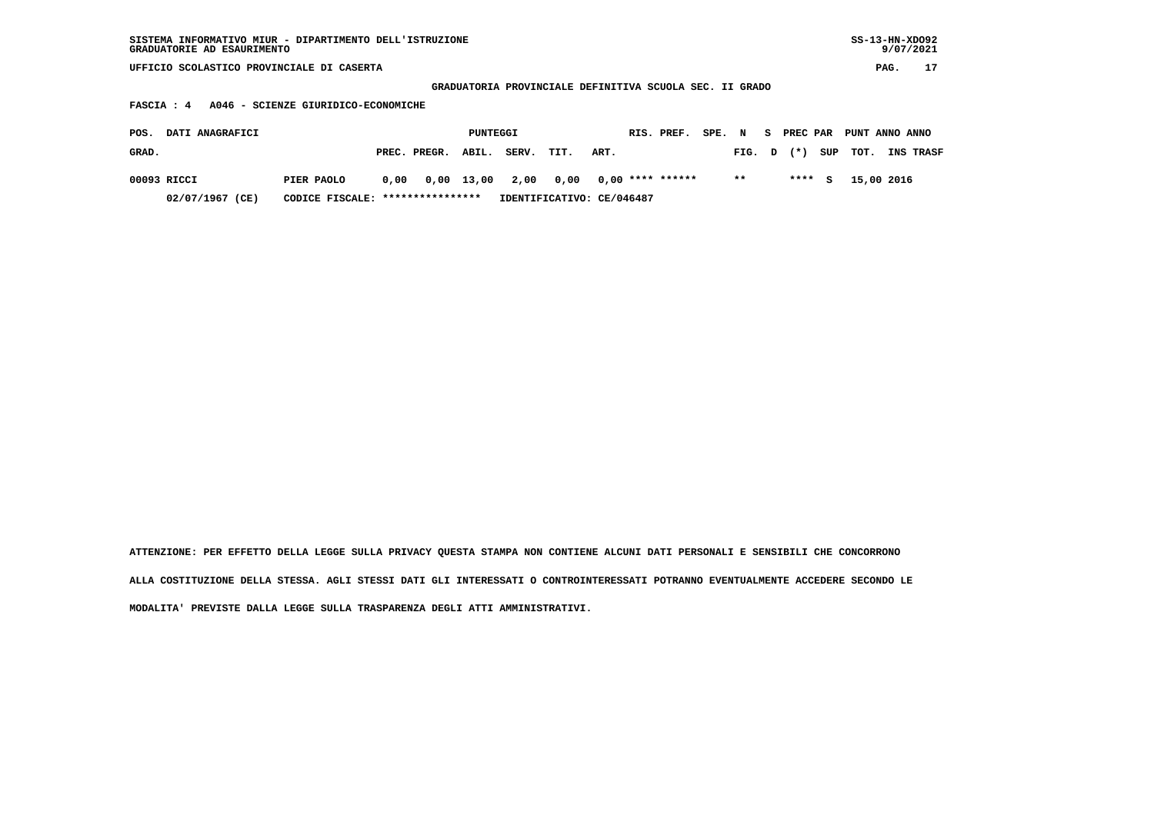| SISTEMA INFORMATIVO MIUR - DIPARTIMENTO DELL'ISTRUZIONE | $SS-13-HN-XDO92$ |
|---------------------------------------------------------|------------------|
| GRADUATORIE AD ESAURIMENTO                              | 9/07/2021        |

 **GRADUATORIA PROVINCIALE DEFINITIVA SCUOLA SEC. II GRADO**

 **FASCIA : 4 A046 - SCIENZE GIURIDICO-ECONOMICHE**

| <b>DATI ANAGRAFICI</b><br>POS. |                                  |      |              | PUNTEGGI |       |                                       |      | RIS. PREF. | SPE. N |        | S PREC PAR |          | PUNT ANNO ANNO |                  |
|--------------------------------|----------------------------------|------|--------------|----------|-------|---------------------------------------|------|------------|--------|--------|------------|----------|----------------|------------------|
| GRAD.                          |                                  |      | PREC. PREGR. | ABIL.    | SERV. | TIT.                                  | ART. |            |        | FIG. D | $(*)$      |          | SUP TOT.       | <b>INS TRASF</b> |
| 00093 RICCI                    | PIER PAOLO                       | 0.00 |              |          |       | 0,00 13,00 2,00 0,00 0,00 **** ****** |      |            |        | $* *$  | ****       | <b>S</b> | 15,00 2016     |                  |
| 02/07/1967 (CE)                | CODICE FISCALE: **************** |      |              |          |       | IDENTIFICATIVO: CE/046487             |      |            |        |        |            |          |                |                  |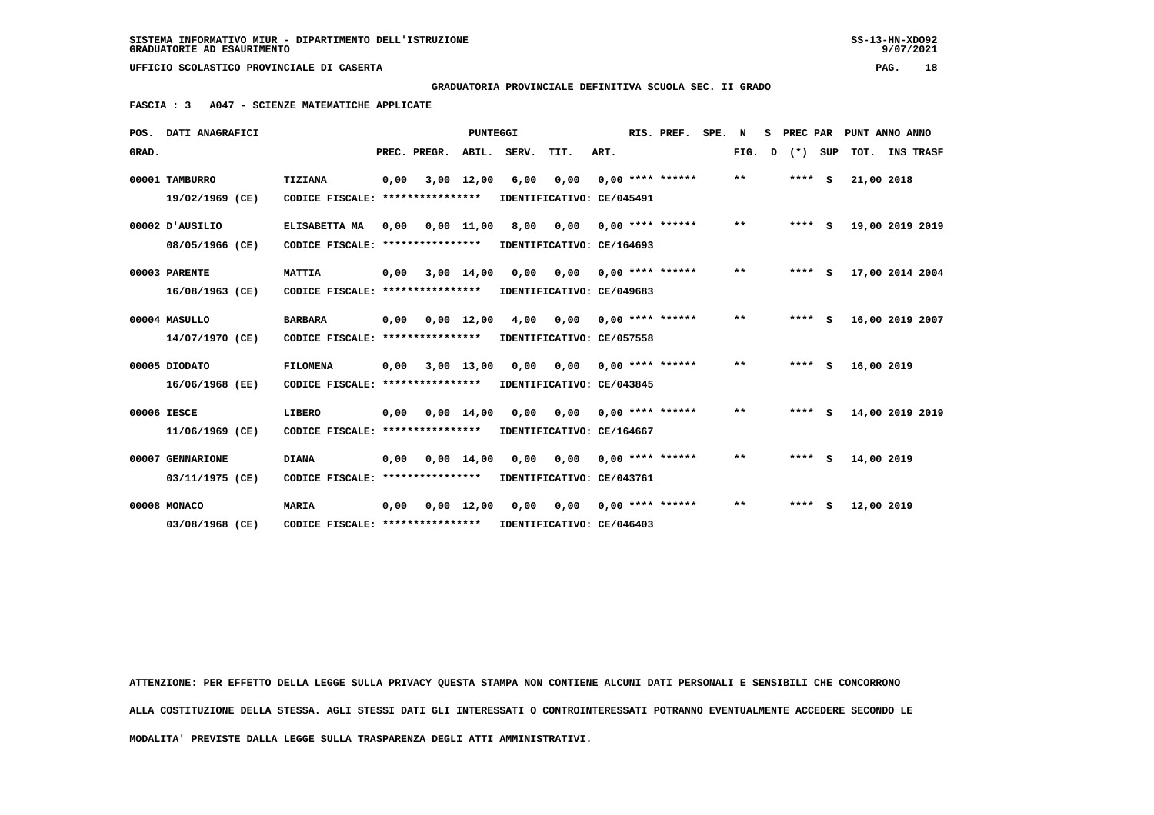**GRADUATORIA PROVINCIALE DEFINITIVA SCUOLA SEC. II GRADO**

 **FASCIA : 3 A047 - SCIENZE MATEMATICHE APPLICATE**

|       | POS. DATI ANAGRAFICI |                                   |      | <b>PUNTEGGI</b>         |                    |                                            |                                  |      | RIS. PREF.         | SPE. | N     | s | PREC PAR |     |            | PUNT ANNO ANNO  |  |
|-------|----------------------|-----------------------------------|------|-------------------------|--------------------|--------------------------------------------|----------------------------------|------|--------------------|------|-------|---|----------|-----|------------|-----------------|--|
| GRAD. |                      |                                   |      | PREC. PREGR.            | ABIL.              | SERV.                                      | TIT.                             | ART. |                    |      | FIG.  | D | $(*)$    | SUP |            | TOT. INS TRASF  |  |
|       | 00001 TAMBURRO       | TIZIANA                           | 0.00 |                         | $3,00$ 12,00       |                                            | $6,00$ $0,00$                    |      | $0.00$ **** ****** |      | $**$  |   | $***$ S  |     | 21,00 2018 |                 |  |
|       | 19/02/1969 (CE)      | CODICE FISCALE: ****************  |      |                         |                    | IDENTIFICATIVO: CE/045491                  |                                  |      |                    |      |       |   |          |     |            |                 |  |
|       | 00002 D'AUSILIO      | ELISABETTA MA                     | 0.00 |                         |                    | $0,00$ 11,00 8,00 0,00 0,00 **** ****** ** |                                  |      |                    |      |       |   | $***$ S  |     |            | 19,00 2019 2019 |  |
|       | 08/05/1966 (CE)      | CODICE FISCALE: ***************** |      |                         |                    | IDENTIFICATIVO: CE/164693                  |                                  |      |                    |      |       |   |          |     |            |                 |  |
|       | 00003 PARENTE        | <b>MATTIA</b>                     |      | $0,00$ $3,00$ $14,00$   |                    | 0,00                                       | 0,00                             |      | $0.00$ **** ****** |      | $***$ |   | $***$ S  |     |            | 17,00 2014 2004 |  |
|       | 16/08/1963 (CE)      | CODICE FISCALE: ****************  |      |                         |                    | IDENTIFICATIVO: CE/049683                  |                                  |      |                    |      |       |   |          |     |            |                 |  |
|       | 00004 MASULLO        | <b>BARBARA</b>                    | 0.00 |                         |                    | 0,00 12,00 4,00 0,00 0,00 **** ******      |                                  |      |                    |      | $***$ |   | $***$ S  |     |            | 16,00 2019 2007 |  |
|       | 14/07/1970 (CE)      | CODICE FISCALE: ***************** |      |                         |                    | IDENTIFICATIVO: CE/057558                  |                                  |      |                    |      |       |   |          |     |            |                 |  |
|       | 00005 DIODATO        | <b>FILOMENA</b>                   | 0,00 | 3,00 13,00              |                    |                                            | $0,00$ $0,00$ $0,00$ **** ****** |      |                    |      | $* *$ |   | $***$ S  |     | 16,00 2019 |                 |  |
|       | 16/06/1968 (EE)      | CODICE FISCALE:                   |      | ****************        |                    | IDENTIFICATIVO: CE/043845                  |                                  |      |                    |      |       |   |          |     |            |                 |  |
|       | 00006 IESCE          | LIBERO                            |      | $0.00 \t 0.00 \t 14.00$ |                    | 0.00                                       | 0.00                             |      | $0.00$ **** ****** |      | $***$ |   | $***$ S  |     |            | 14,00 2019 2019 |  |
|       | 11/06/1969 (CE)      | CODICE FISCALE: ****************  |      |                         |                    | IDENTIFICATIVO: CE/164667                  |                                  |      |                    |      |       |   |          |     |            |                 |  |
|       | 00007 GENNARIONE     | <b>DIANA</b>                      | 0.00 |                         |                    | 0,00 14,00 0,00 0,00 0,00 **** ******      |                                  |      |                    |      | $***$ |   | ****     | s   | 14,00 2019 |                 |  |
|       | 03/11/1975 (CE)      | CODICE FISCALE: ****************  |      |                         |                    | IDENTIFICATIVO: CE/043761                  |                                  |      |                    |      |       |   |          |     |            |                 |  |
|       | 00008 MONACO         | <b>MARIA</b>                      | 0.00 |                         | $0.00 \quad 12.00$ |                                            | $0,00$ $0,00$                    |      | $0.00$ **** ****** |      | $* *$ |   | $***$ S  |     | 12,00 2019 |                 |  |
|       | 03/08/1968 (CE)      | CODICE FISCALE: ****************  |      |                         |                    | IDENTIFICATIVO: CE/046403                  |                                  |      |                    |      |       |   |          |     |            |                 |  |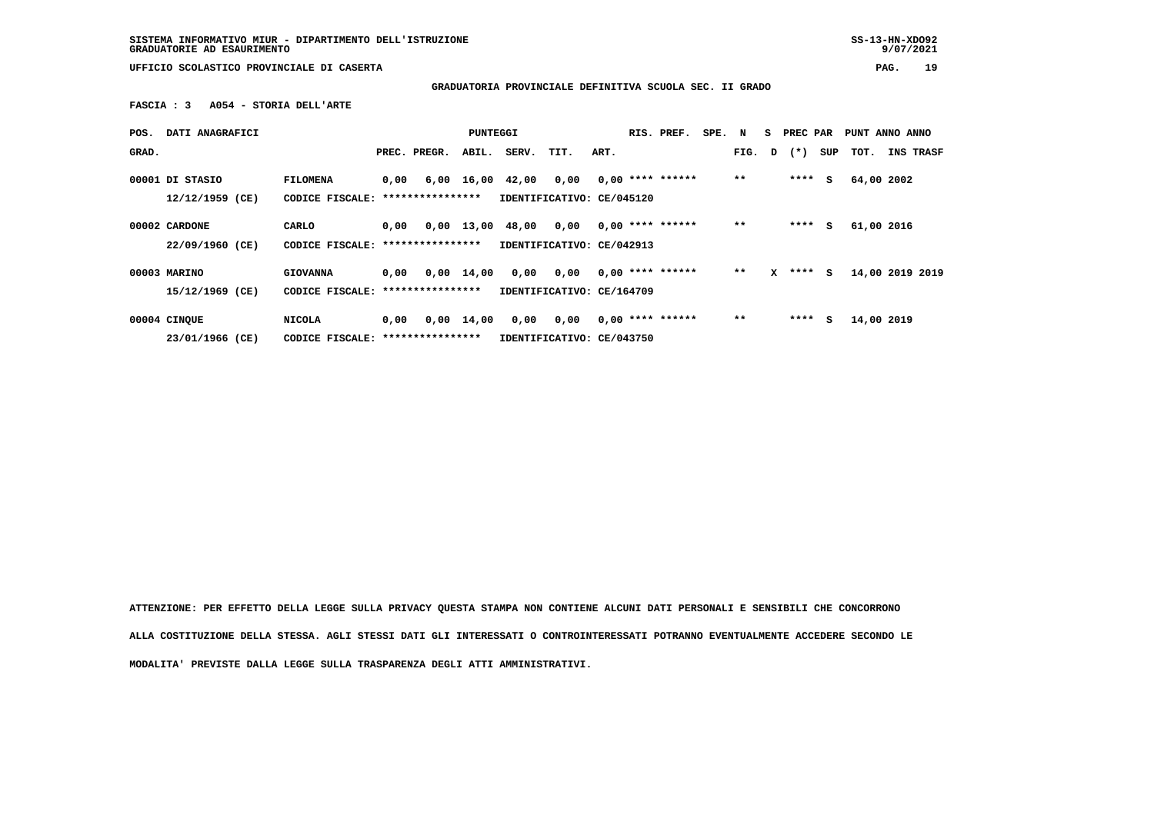**SISTEMA INFORMATIVO MIUR - DIPARTIMENTO DELL'ISTRUZIONE SS-13-HN-XDO92 GRADUATORIE AD ESAURIMENTO 9/07/2021**

 $9/07/2021$ 

 **UFFICIO SCOLASTICO PROVINCIALE DI CASERTA PAG. 19**

 **GRADUATORIA PROVINCIALE DEFINITIVA SCUOLA SEC. II GRADO**

 **FASCIA : 3 A054 - STORIA DELL'ARTE**

| POS.  | DATI ANAGRAFICI |                                   |      |                  | PUNTEGGI           |       |                           |      | RIS. PREF.         | SPE. | N     | s | PREC PAR  |     | PUNT ANNO ANNO  |           |
|-------|-----------------|-----------------------------------|------|------------------|--------------------|-------|---------------------------|------|--------------------|------|-------|---|-----------|-----|-----------------|-----------|
| GRAD. |                 |                                   |      | PREC. PREGR.     | ABIL.              | SERV. | TIT.                      | ART. |                    |      | FIG.  | D | $(\star)$ | SUP | тот.            | INS TRASF |
|       | 00001 DI STASIO | <b>FILOMENA</b>                   | 0,00 |                  | 6,00 16,00         | 42,00 | 0,00                      |      | $0.00$ **** ****** |      | $***$ |   | ****      | s   | 64,00 2002      |           |
|       | 12/12/1959 (CE) | CODICE FISCALE:                   |      | **************** |                    |       | IDENTIFICATIVO: CE/045120 |      |                    |      |       |   |           |     |                 |           |
|       | 00002 CARDONE   | CARLO                             | 0.00 |                  | $0,00$ 13,00       | 48,00 | 0,00                      |      | $0.00$ **** ****** |      | $**$  |   | ****      | s   | 61,00 2016      |           |
|       | 22/09/1960 (CE) | CODICE FISCALE: ***************** |      |                  |                    |       | IDENTIFICATIVO: CE/042913 |      |                    |      |       |   |           |     |                 |           |
|       | 00003 MARINO    | <b>GIOVANNA</b>                   | 0.00 |                  | $0.00$ 14.00       | 0.00  | 0,00                      |      | $0.00$ **** ****** |      | $***$ | x | ****      | S.  | 14,00 2019 2019 |           |
|       | 15/12/1969 (CE) | CODICE FISCALE: ***************** |      |                  |                    |       | IDENTIFICATIVO: CE/164709 |      |                    |      |       |   |           |     |                 |           |
|       | 00004 CINQUE    | <b>NICOLA</b>                     | 0,00 |                  | $0,00 \quad 14,00$ | 0,00  | 0,00                      |      | $0.00$ **** ****** |      | $* *$ |   | ****      | s   | 14,00 2019      |           |
|       | 23/01/1966 (CE) | CODICE FISCALE: ***************** |      |                  |                    |       | IDENTIFICATIVO: CE/043750 |      |                    |      |       |   |           |     |                 |           |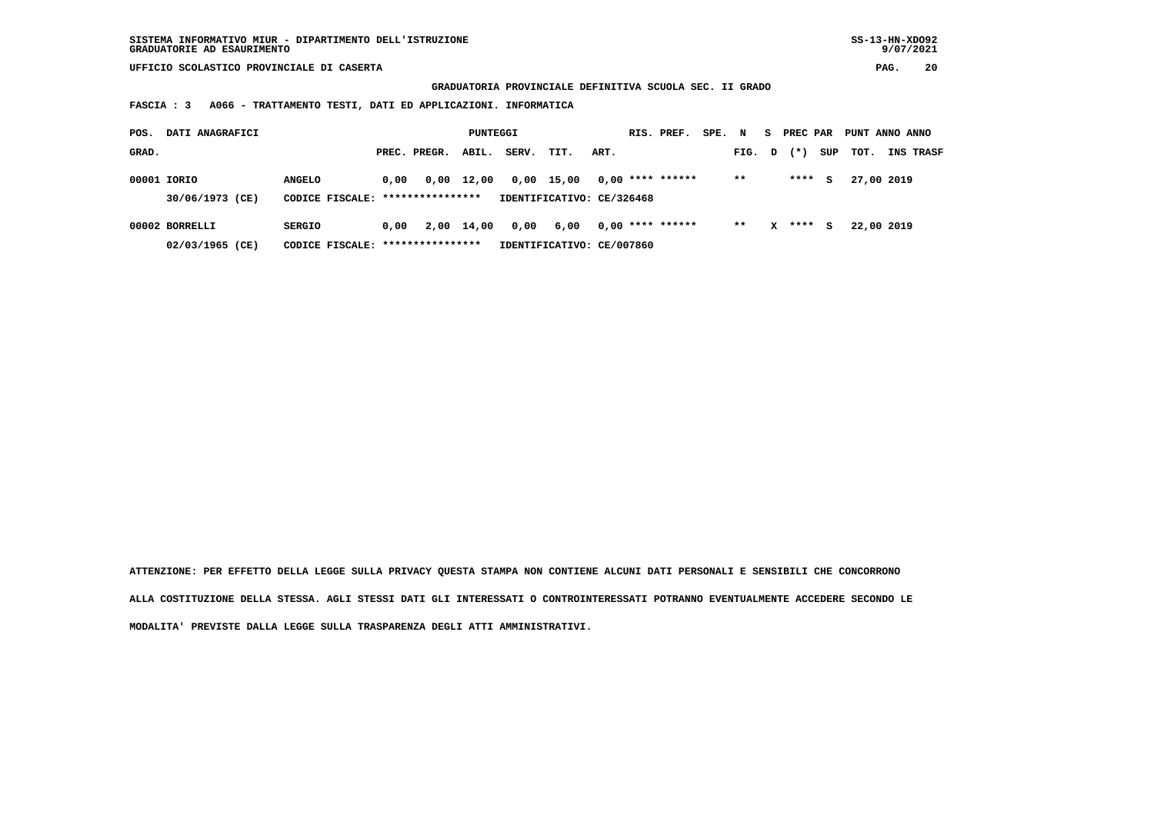**GRADUATORIA PROVINCIALE DEFINITIVA SCUOLA SEC. II GRADO**

 **FASCIA : 3 A066 - TRATTAMENTO TESTI, DATI ED APPLICAZIONI. INFORMATICA**

| POS.  | DATI ANAGRAFICI                   |                                                    |      |              | PUNTEGGI   |       |                                         |      | RIS. PREF.         | SPE. N |       | s. | PREC PAR |     | PUNT ANNO ANNO |                  |
|-------|-----------------------------------|----------------------------------------------------|------|--------------|------------|-------|-----------------------------------------|------|--------------------|--------|-------|----|----------|-----|----------------|------------------|
| GRAD. |                                   |                                                    |      | PREC. PREGR. | ABIL.      | SERV. | TIT.                                    | ART. |                    |        | FIG.  | D  | $(* )$   | SUP | тот.           | <b>INS TRASF</b> |
|       | 00001 IORIO<br>30/06/1973 (CE)    | <b>ANGELO</b><br>CODICE FISCALE: ****************  | 0.00 | 0,00         | 12,00      |       | 0,00 15,00<br>IDENTIFICATIVO: CE/326468 |      | $0,00$ **** ****** |        | $* *$ |    | ****     | s   | 27,00 2019     |                  |
|       | 00002 BORRELLI<br>02/03/1965 (CE) | <b>SERGIO</b><br>CODICE FISCALE: ***************** | 0.00 |              | 2,00 14,00 | 0,00  | 6,00<br>IDENTIFICATIVO: CE/007860       |      | $0,00$ **** ****** |        | $**$  | x  | ****     | s   | 22,00 2019     |                  |